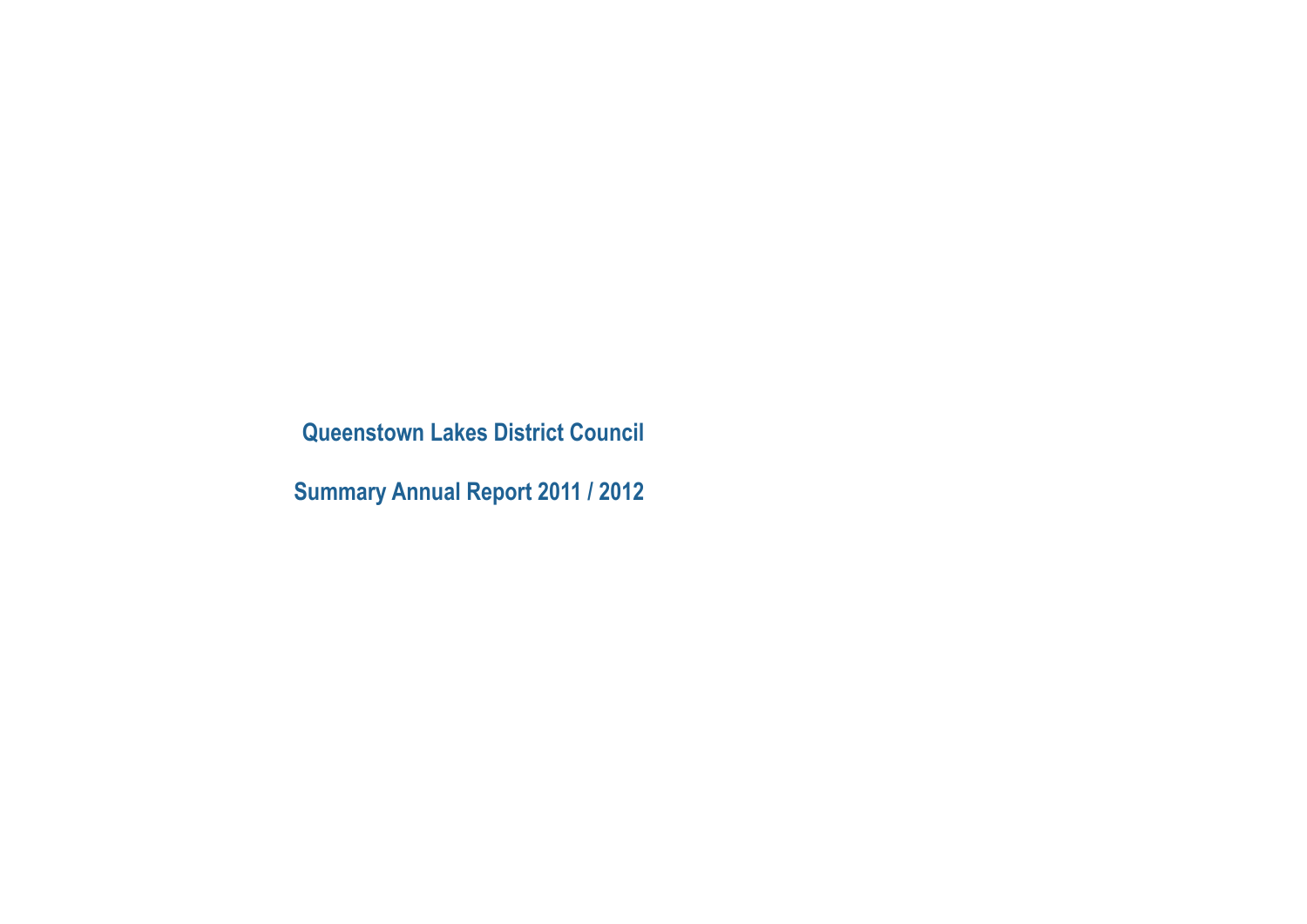**Queenstown Lakes District Council**

**Summary Annual Report 2011 / 2012**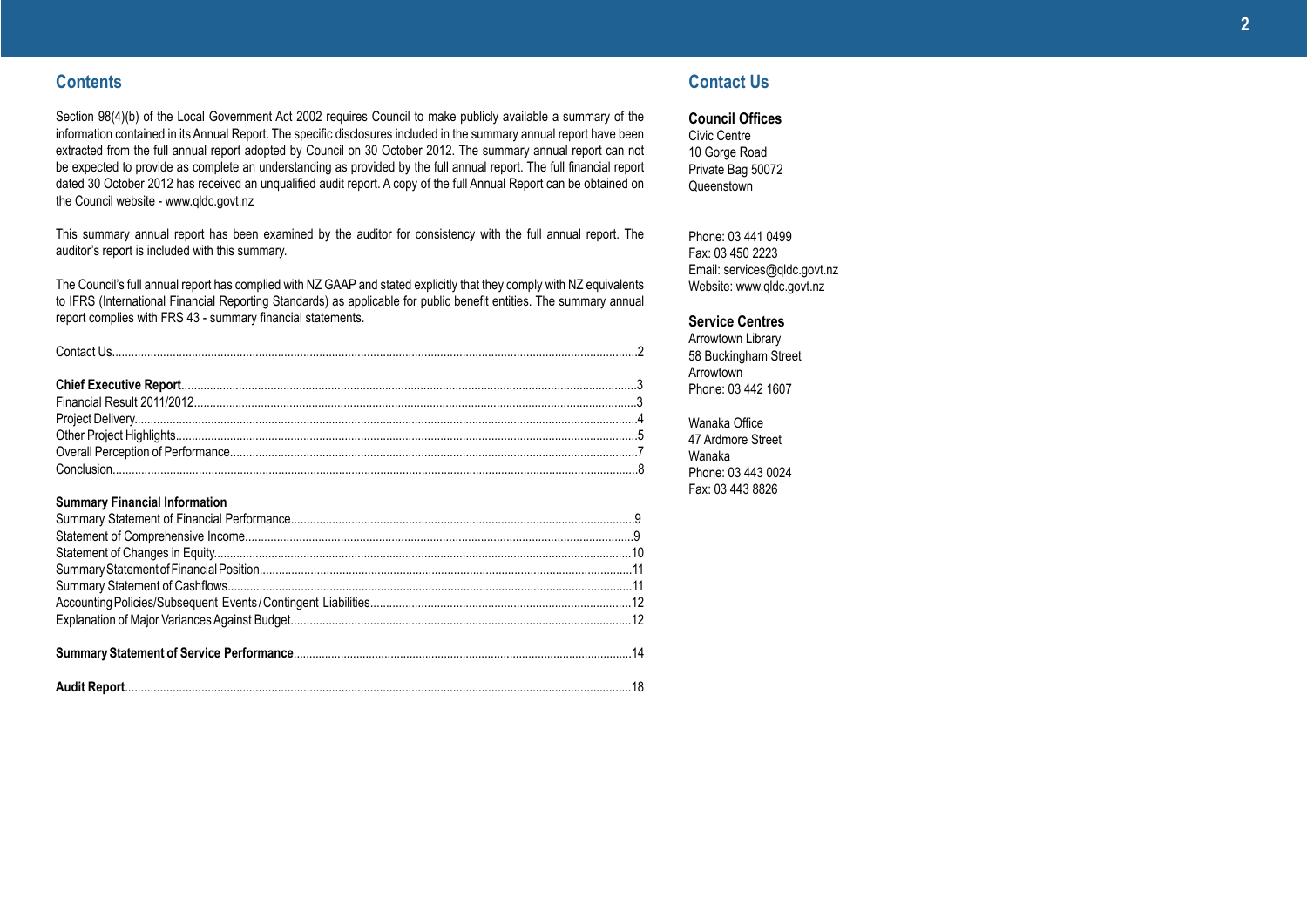### **Contents**

Section 98(4)(b) of the Local Government Act 2002 requires Council to make publicly available a summary of the information contained in its Annual Report. The specific disclosures included in the summary annual report have been extracted from the full annual report adopted by Council on 30 October 2012. The summary annual report can not be expected to provide as complete an understanding as provided by the full annual report. The full financial report dated 30 October 2012 has received an unqualified audit report. A copy of the full Annual Report can be obtained on the Council website - www.qldc.govt.nz

This summary annual report has been examined by the auditor for consistency with the full annual report. The auditor's report is included with this summary.

The Council's full annual report has complied with NZ GAAP and stated explicitly that they comply with NZ equivalents to IFRS (International Financial Reporting Standards) as applicable for public benefit entities. The summary annual report complies with FRS 43 - summary financial statements.

Conclusion.....................................................................................................................................................................8

#### **Summary Financial Information**

### **Contact Us**

**Council Offices**

Civic Centre 10 Gorge Road Private Bag 50072 Queenstown

Phone: 03 441 0499 Fax: 03 450 2223 Email: services@qldc.govt.nz Website: www.qldc.govt.nz

#### **Service Centres**

Arrowtown Library 58 Buckingham Street Arrowtown Phone: 03 442 1607

Wanaka Office 47 Ardmore Street Wanaka Phone: 03 443 0024 Fax: 03 443 8826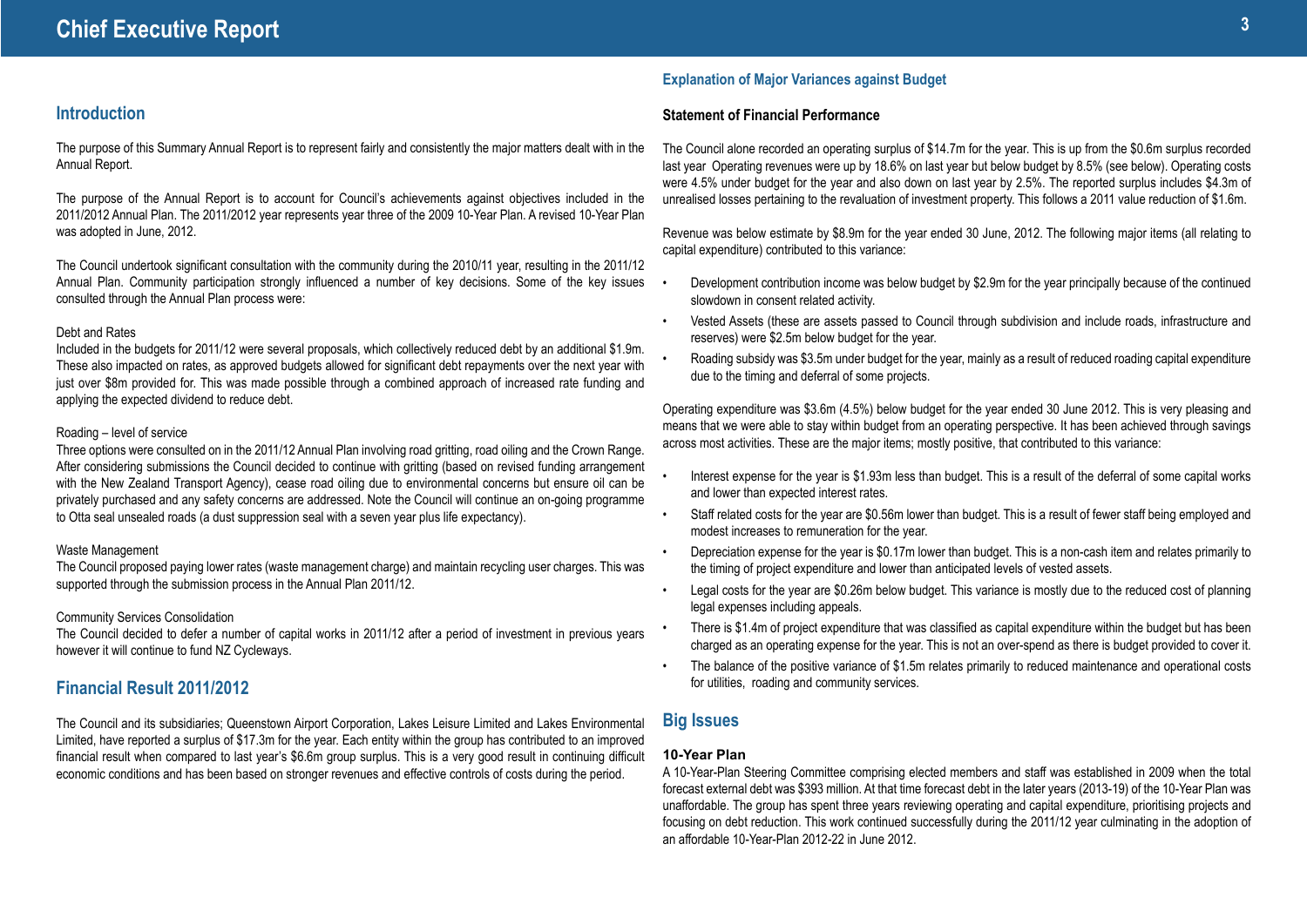### **Introduction**

The purpose of this Summary Annual Report is to represent fairly and consistently the major matters dealt with in the Annual Report.

The purpose of the Annual Report is to account for Council's achievements against objectives included in the 2011/2012 Annual Plan. The 2011/2012 year represents year three of the 2009 10-Year Plan. A revised 10-Year Plan was adopted in June, 2012.

The Council undertook significant consultation with the community during the 2010/11 year, resulting in the 2011/12 Annual Plan. Community participation strongly influenced a number of key decisions. Some of the key issues consulted through the Annual Plan process were:

#### Debt and Rates

Included in the budgets for 2011/12 were several proposals, which collectively reduced debt by an additional \$1.9m. These also impacted on rates, as approved budgets allowed for significant debt repayments over the next year with just over \$8m provided for. This was made possible through a combined approach of increased rate funding and applying the expected dividend to reduce debt.

#### Roading – level of service

Three options were consulted on in the 2011/12 Annual Plan involving road gritting, road oiling and the Crown Range. After considering submissions the Council decided to continue with gritting (based on revised funding arrangement with the New Zealand Transport Agency), cease road oiling due to environmental concerns but ensure oil can be privately purchased and any safety concerns are addressed. Note the Council will continue an on-going programme to Otta seal unsealed roads (a dust suppression seal with a seven year plus life expectancy).

#### Waste Management

The Council proposed paying lower rates (waste management charge) and maintain recycling user charges. This was supported through the submission process in the Annual Plan 2011/12.

#### Community Services Consolidation

The Council decided to defer a number of capital works in 2011/12 after a period of investment in previous years however it will continue to fund NZ Cycleways.

### **Financial Result 2011/2012**

The Council and its subsidiaries; Queenstown Airport Corporation, Lakes Leisure Limited and Lakes Environmental Limited, have reported a surplus of \$17.3m for the year. Each entity within the group has contributed to an improved financial result when compared to last year's \$6.6m group surplus. This is a very good result in continuing difficult economic conditions and has been based on stronger revenues and effective controls of costs during the period.

### **Explanation of Major Variances against Budget**

#### **Statement of Financial Performance**

The Council alone recorded an operating surplus of \$14.7m for the year. This is up from the \$0.6m surplus recorded last year Operating revenues were up by 18.6% on last year but below budget by 8.5% (see below). Operating costs were 4.5% under budget for the year and also down on last year by 2.5%. The reported surplus includes \$4.3m of unrealised losses pertaining to the revaluation of investment property. This follows a 2011 value reduction of \$1.6m.

Revenue was below estimate by \$8.9m for the year ended 30 June, 2012. The following major items (all relating to capital expenditure) contributed to this variance:

- Development contribution income was below budget by \$2.9m for the year principally because of the continued slowdown in consent related activity.
- Vested Assets (these are assets passed to Council through subdivision and include roads, infrastructure and reserves) were \$2.5m below budget for the year.
- Roading subsidy was \$3.5m under budget for the year, mainly as a result of reduced roading capital expenditure due to the timing and deferral of some projects.

Operating expenditure was \$3.6m (4.5%) below budget for the year ended 30 June 2012. This is very pleasing and means that we were able to stay within budget from an operating perspective. It has been achieved through savings across most activities. These are the major items; mostly positive, that contributed to this variance:

- Interest expense for the year is \$1.93m less than budget. This is a result of the deferral of some capital works and lower than expected interest rates.
- Staff related costs for the year are \$0.56m lower than budget. This is a result of fewer staff being employed and modest increases to remuneration for the year.
- Depreciation expense for the year is \$0.17m lower than budget. This is a non-cash item and relates primarily to the timing of project expenditure and lower than anticipated levels of vested assets.
- Legal costs for the year are \$0.26m below budget. This variance is mostly due to the reduced cost of planning legal expenses including appeals.
- There is \$1.4m of project expenditure that was classified as capital expenditure within the budget but has been charged as an operating expense for the year. This is not an over-spend as there is budget provided to cover it.
- The balance of the positive variance of \$1.5m relates primarily to reduced maintenance and operational costs for utilities, roading and community services.

### **Big Issues**

#### **10-Year Plan**

A 10-Year-Plan Steering Committee comprising elected members and staff was established in 2009 when the total forecast external debt was \$393 million. At that time forecast debt in the later years (2013-19) of the 10-Year Plan was unaffordable. The group has spent three years reviewing operating and capital expenditure, prioritising projects and focusing on debt reduction. This work continued successfully during the 2011/12 year culminating in the adoption of an affordable 10-Year-Plan 2012-22 in June 2012.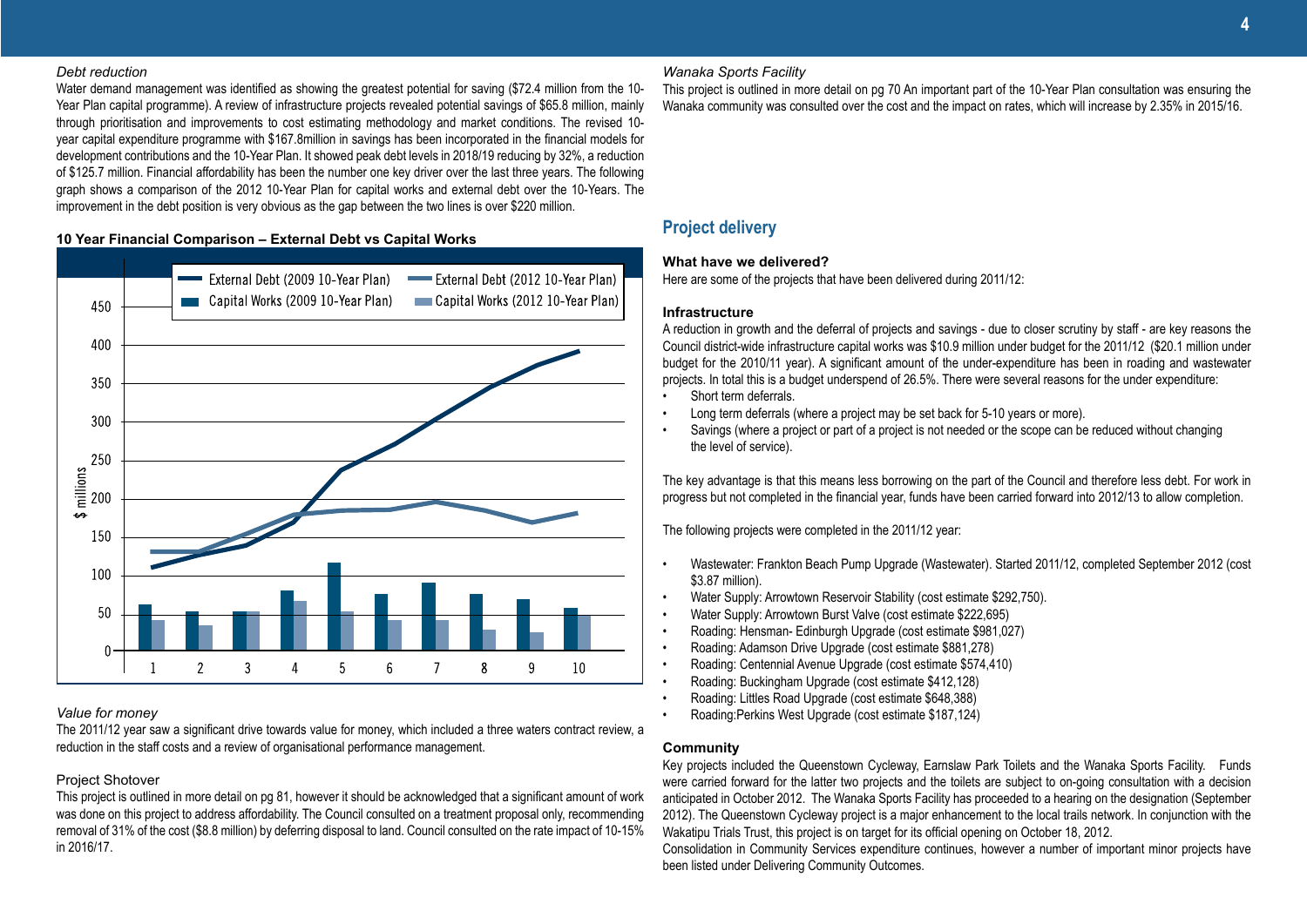#### *Debt reduction*

Water demand management was identified as showing the greatest potential for saving (\$72.4 million from the 10- Year Plan capital programme). A review of infrastructure projects revealed potential savings of \$65.8 million, mainly through prioritisation and improvements to cost estimating methodology and market conditions. The revised 10 year capital expenditure programme with \$167.8million in savings has been incorporated in the financial models for development contributions and the 10-Year Plan. It showed peak debt levels in 2018/19 reducing by 32%, a reduction of \$125.7 million. Financial affordability has been the number one key driver over the last three years. The following graph shows a comparison of the 2012 10-Year Plan for capital works and external debt over the 10-Years. The improvement in the debt position is very obvious as the gap between the two lines is over \$220 million.

#### **10 Year Financial Comparison – External Debt vs Capital Works**



#### *Value for money*

The 2011/12 year saw a significant drive towards value for money, which included a three waters contract review, a reduction in the staff costs and a review of organisational performance management.

### Project Shotover

This project is outlined in more detail on pg 81, however it should be acknowledged that a significant amount of work was done on this project to address affordability. The Council consulted on a treatment proposal only, recommending removal of 31% of the cost (\$8.8 million) by deferring disposal to land. Council consulted on the rate impact of 10-15% in 2016/17.

### *Wanaka Sports Facility*

This project is outlined in more detail on pg 70 An important part of the 10-Year Plan consultation was ensuring the Wanaka community was consulted over the cost and the impact on rates, which will increase by 2.35% in 2015/16.

### **Project delivery**

#### **What have we delivered?**

Here are some of the projects that have been delivered during 2011/12:

#### **Infrastructure**

A reduction in growth and the deferral of projects and savings - due to closer scrutiny by staff - are key reasons the Council district-wide infrastructure capital works was \$10.9 million under budget for the 2011/12 (\$20.1 million under budget for the 2010/11 year). A significant amount of the under-expenditure has been in roading and wastewater projects. In total this is a budget underspend of 26.5%. There were several reasons for the under expenditure:

- Short term deferrals.
- Long term deferrals (where a project may be set back for 5-10 years or more).
- Savings (where a project or part of a project is not needed or the scope can be reduced without changing the level of service).

The key advantage is that this means less borrowing on the part of the Council and therefore less debt. For work in progress but not completed in the financial year, funds have been carried forward into 2012/13 to allow completion.

The following projects were completed in the 2011/12 year:

- Wastewater: Frankton Beach Pump Upgrade (Wastewater). Started 2011/12, completed September 2012 (cost \$3.87 million).
- Water Supply: Arrowtown Reservoir Stability (cost estimate \$292,750).
- Water Supply: Arrowtown Burst Valve (cost estimate \$222,695)
- Roading: Hensman- Edinburgh Upgrade (cost estimate \$981,027)
- Roading: Adamson Drive Upgrade (cost estimate \$881,278)
- Roading: Centennial Avenue Upgrade (cost estimate \$574,410)
- Roading: Buckingham Upgrade (cost estimate \$412,128)
- Roading: Littles Road Upgrade (cost estimate \$648,388)
- Roading:Perkins West Upgrade (cost estimate \$187,124)

#### **Community**

Key projects included the Queenstown Cycleway, Earnslaw Park Toilets and the Wanaka Sports Facility. Funds were carried forward for the latter two projects and the toilets are subject to on-going consultation with a decision anticipated in October 2012. The Wanaka Sports Facility has proceeded to a hearing on the designation (September 2012). The Queenstown Cycleway project is a major enhancement to the local trails network. In conjunction with the Wakatipu Trials Trust, this project is on target for its official opening on October 18, 2012.

Consolidation in Community Services expenditure continues, however a number of important minor projects have been listed under Delivering Community Outcomes.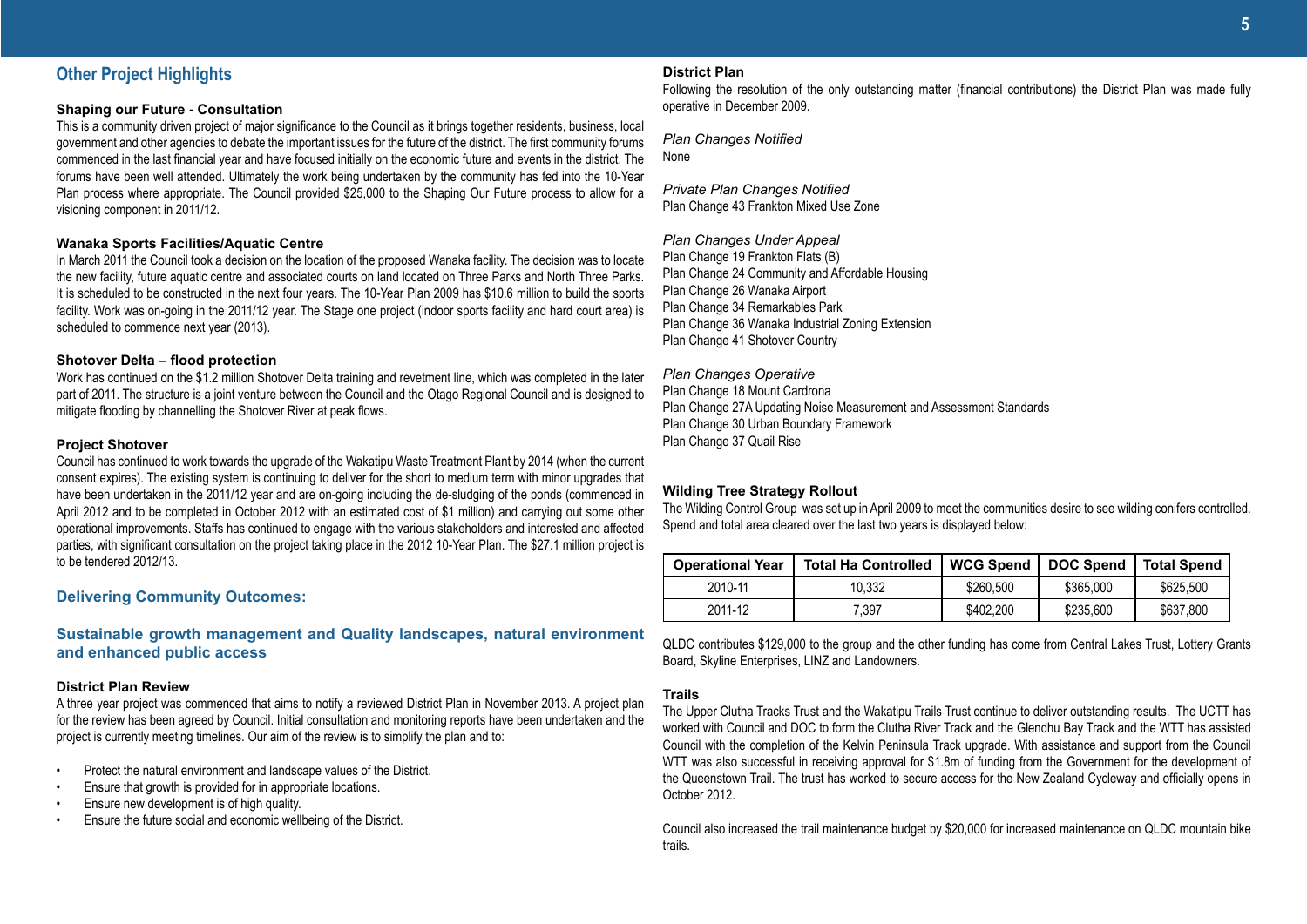### **Other Project Highlights**

#### **Shaping our Future - Consultation**

This is a community driven project of major significance to the Council as it brings together residents, business, local government and other agencies to debate the important issues for the future of the district. The first community forums commenced in the last financial year and have focused initially on the economic future and events in the district. The forums have been well attended. Ultimately the work being undertaken by the community has fed into the 10-Year Plan process where appropriate. The Council provided \$25,000 to the Shaping Our Future process to allow for a visioning component in 2011/12.

#### **Wanaka Sports Facilities/Aquatic Centre**

In March 2011 the Council took a decision on the location of the proposed Wanaka facility. The decision was to locate the new facility, future aquatic centre and associated courts on land located on Three Parks and North Three Parks. It is scheduled to be constructed in the next four years. The 10-Year Plan 2009 has \$10.6 million to build the sports facility. Work was on-going in the 2011/12 year. The Stage one project (indoor sports facility and hard court area) is scheduled to commence next year (2013).

#### **Shotover Delta – flood protection**

Work has continued on the \$1.2 million Shotover Delta training and revetment line, which was completed in the later part of 2011. The structure is a joint venture between the Council and the Otago Regional Council and is designed to mitigate flooding by channelling the Shotover River at peak flows.

#### **Project Shotover**

Council has continued to work towards the upgrade of the Wakatipu Waste Treatment Plant by 2014 (when the current consent expires). The existing system is continuing to deliver for the short to medium term with minor upgrades that have been undertaken in the 2011/12 year and are on-going including the de-sludging of the ponds (commenced in April 2012 and to be completed in October 2012 with an estimated cost of \$1 million) and carrying out some other operational improvements. Staffs has continued to engage with the various stakeholders and interested and affected parties, with significant consultation on the project taking place in the 2012 10-Year Plan. The \$27.1 million project is to be tendered 2012/13.

#### **Delivering Community Outcomes:**

### **Sustainable growth management and Quality landscapes, natural environment and enhanced public access**

#### **District Plan Review**

A three year project was commenced that aims to notify a reviewed District Plan in November 2013. A project plan for the review has been agreed by Council. Initial consultation and monitoring reports have been undertaken and the project is currently meeting timelines. Our aim of the review is to simplify the plan and to:

- Protect the natural environment and landscape values of the District.
- Ensure that growth is provided for in appropriate locations.
- Ensure new development is of high quality.
- Ensure the future social and economic wellbeing of the District.

#### **District Plan**

Following the resolution of the only outstanding matter (financial contributions) the District Plan was made fully operative in December 2009.

*Plan Changes Notified* None

*Private Plan Changes Notified* Plan Change 43 Frankton Mixed Use Zone

#### *Plan Changes Under Appeal*

Plan Change 19 Frankton Flats (B) Plan Change 24 Community and Affordable Housing Plan Change 26 Wanaka Airport Plan Change 34 Remarkables Park Plan Change 36 Wanaka Industrial Zoning Extension Plan Change 41 Shotover Country

*Plan Changes Operative* Plan Change 18 Mount Cardrona Plan Change 27A Updating Noise Measurement and Assessment Standards Plan Change 30 Urban Boundary Framework Plan Change 37 Quail Rise

#### **Wilding Tree Strategy Rollout**

The Wilding Control Group was set up in April 2009 to meet the communities desire to see wilding conifers controlled. Spend and total area cleared over the last two years is displayed below:

| <b>Operational Year</b> | <b>Total Ha Controlled</b> | WCG Spend | <b>DOC Spend</b> | Total Spend |
|-------------------------|----------------------------|-----------|------------------|-------------|
| 2010-11                 | 10.332                     | \$260.500 | \$365,000        | \$625.500   |
| 2011-12                 | 7.397                      | \$402.200 | \$235,600        | \$637,800   |

QLDC contributes \$129,000 to the group and the other funding has come from Central Lakes Trust, Lottery Grants Board, Skyline Enterprises, LINZ and Landowners.

#### **Trails**

The Upper Clutha Tracks Trust and the Wakatipu Trails Trust continue to deliver outstanding results. The UCTT has worked with Council and DOC to form the Clutha River Track and the Glendhu Bay Track and the WTT has assisted Council with the completion of the Kelvin Peninsula Track upgrade. With assistance and support from the Council WTT was also successful in receiving approval for \$1.8m of funding from the Government for the development of the Queenstown Trail. The trust has worked to secure access for the New Zealand Cycleway and officially opens in October 2012.

Council also increased the trail maintenance budget by \$20,000 for increased maintenance on QLDC mountain bike trails.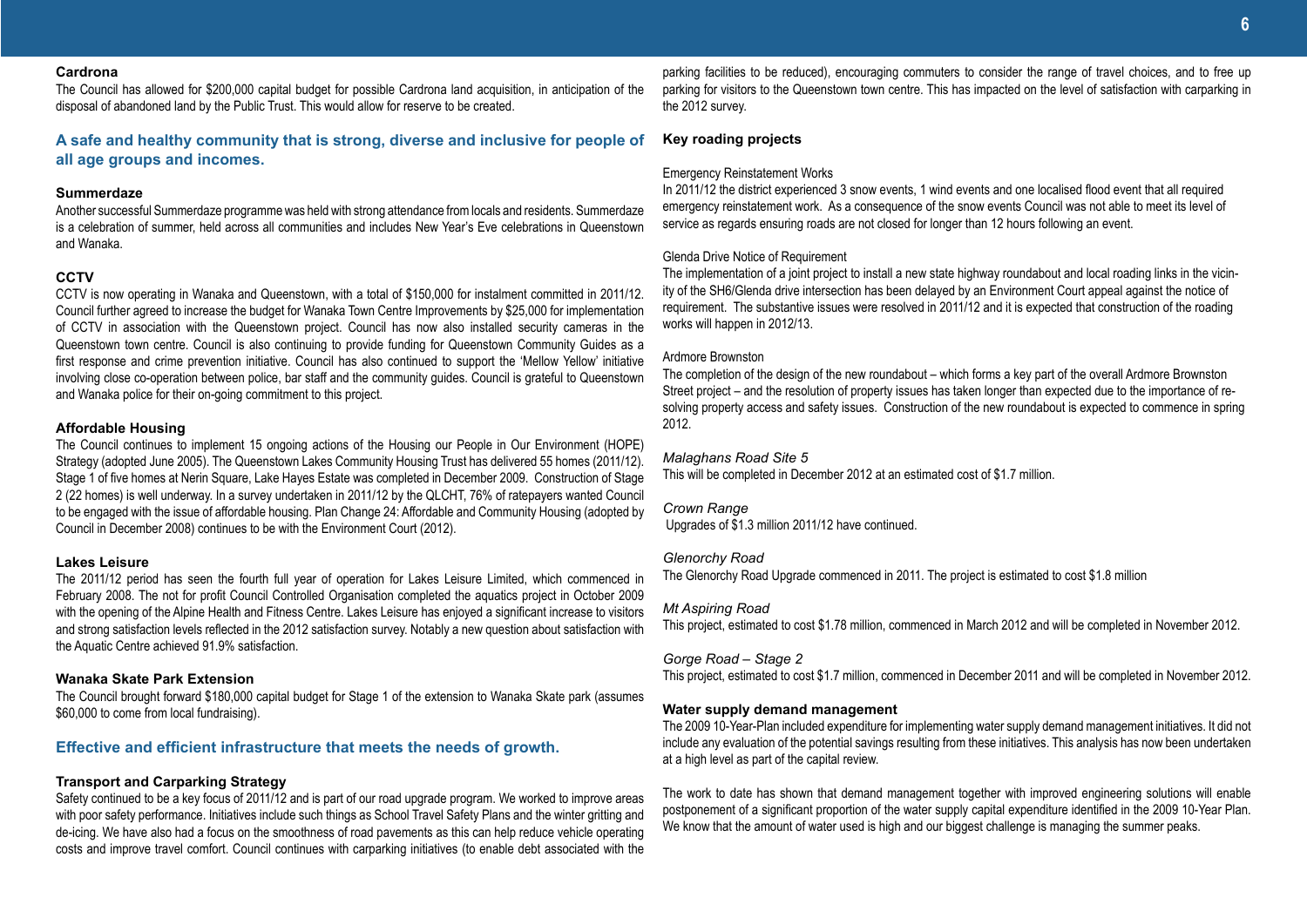#### **Cardrona**

The Council has allowed for \$200,000 capital budget for possible Cardrona land acquisition, in anticipation of the disposal of abandoned land by the Public Trust. This would allow for reserve to be created.

#### **A safe and healthy community that is strong, diverse and inclusive for people of all age groups and incomes.**

#### **Summerdaze**

Another successful Summerdaze programme was held with strong attendance from locals and residents. Summerdaze is a celebration of summer, held across all communities and includes New Year's Eve celebrations in Queenstown and Wanaka.

#### **CCTV**

CCTV is now operating in Wanaka and Queenstown, with a total of \$150,000 for instalment committed in 2011/12. Council further agreed to increase the budget for Wanaka Town Centre Improvements by \$25,000 for implementation of CCTV in association with the Queenstown project. Council has now also installed security cameras in the Queenstown town centre. Council is also continuing to provide funding for Queenstown Community Guides as a first response and crime prevention initiative. Council has also continued to support the 'Mellow Yellow' initiative involving close co-operation between police, bar staff and the community guides. Council is grateful to Queenstown and Wanaka police for their on-going commitment to this project.

#### **Affordable Housing**

The Council continues to implement 15 ongoing actions of the Housing our People in Our Environment (HOPE) Strategy (adopted June 2005). The Queenstown Lakes Community Housing Trust has delivered 55 homes (2011/12). Stage 1 of five homes at Nerin Square, Lake Hayes Estate was completed in December 2009. Construction of Stage 2 (22 homes) is well underway. In a survey undertaken in 2011/12 by the QLCHT, 76% of ratepayers wanted Council to be engaged with the issue of affordable housing. Plan Change 24: Affordable and Community Housing (adopted by Council in December 2008) continues to be with the Environment Court (2012).

#### **Lakes Leisure**

The 2011/12 period has seen the fourth full year of operation for Lakes Leisure Limited, which commenced in February 2008. The not for profit Council Controlled Organisation completed the aquatics project in October 2009 with the opening of the Alpine Health and Fitness Centre. Lakes Leisure has enjoyed a significant increase to visitors and strong satisfaction levels reflected in the 2012 satisfaction survey. Notably a new question about satisfaction with the Aquatic Centre achieved 91.9% satisfaction.

#### **Wanaka Skate Park Extension**

The Council brought forward \$180,000 capital budget for Stage 1 of the extension to Wanaka Skate park (assumes \$60,000 to come from local fundraising).

#### **Effective and efficient infrastructure that meets the needs of growth.**

#### **Transport and Carparking Strategy**

Safety continued to be a key focus of 2011/12 and is part of our road upgrade program. We worked to improve areas with poor safety performance. Initiatives include such things as School Travel Safety Plans and the winter gritting and de-icing. We have also had a focus on the smoothness of road pavements as this can help reduce vehicle operating costs and improve travel comfort. Council continues with carparking initiatives (to enable debt associated with the parking facilities to be reduced), encouraging commuters to consider the range of travel choices, and to free up parking for visitors to the Queenstown town centre. This has impacted on the level of satisfaction with carparking in the 2012 survey.

#### **Key roading projects**

#### Emergency Reinstatement Works

In 2011/12 the district experienced 3 snow events, 1 wind events and one localised flood event that all required emergency reinstatement work. As a consequence of the snow events Council was not able to meet its level of service as regards ensuring roads are not closed for longer than 12 hours following an event.

#### Glenda Drive Notice of Requirement

The implementation of a joint project to install a new state highway roundabout and local roading links in the vicinity of the SH6/Glenda drive intersection has been delayed by an Environment Court appeal against the notice of requirement. The substantive issues were resolved in 2011/12 and it is expected that construction of the roading works will happen in 2012/13.

#### Ardmore Brownston

The completion of the design of the new roundabout – which forms a key part of the overall Ardmore Brownston Street project – and the resolution of property issues has taken longer than expected due to the importance of resolving property access and safety issues. Construction of the new roundabout is expected to commence in spring 2012.

#### *Malaghans Road Site 5*

This will be completed in December 2012 at an estimated cost of \$1.7 million.

#### *Crown Range* Upgrades of \$1.3 million 2011/12 have continued.

#### *Glenorchy Road*

The Glenorchy Road Upgrade commenced in 2011. The project is estimated to cost \$1.8 million

#### *Mt Aspiring Road*

This project, estimated to cost \$1.78 million, commenced in March 2012 and will be completed in November 2012.

#### *Gorge Road – Stage 2*

This project, estimated to cost \$1.7 million, commenced in December 2011 and will be completed in November 2012.

#### **Water supply demand management**

The 2009 10-Year-Plan included expenditure for implementing water supply demand management initiatives. It did not include any evaluation of the potential savings resulting from these initiatives. This analysis has now been undertaken at a high level as part of the capital review.

The work to date has shown that demand management together with improved engineering solutions will enable postponement of a significant proportion of the water supply capital expenditure identified in the 2009 10-Year Plan. We know that the amount of water used is high and our biggest challenge is managing the summer peaks.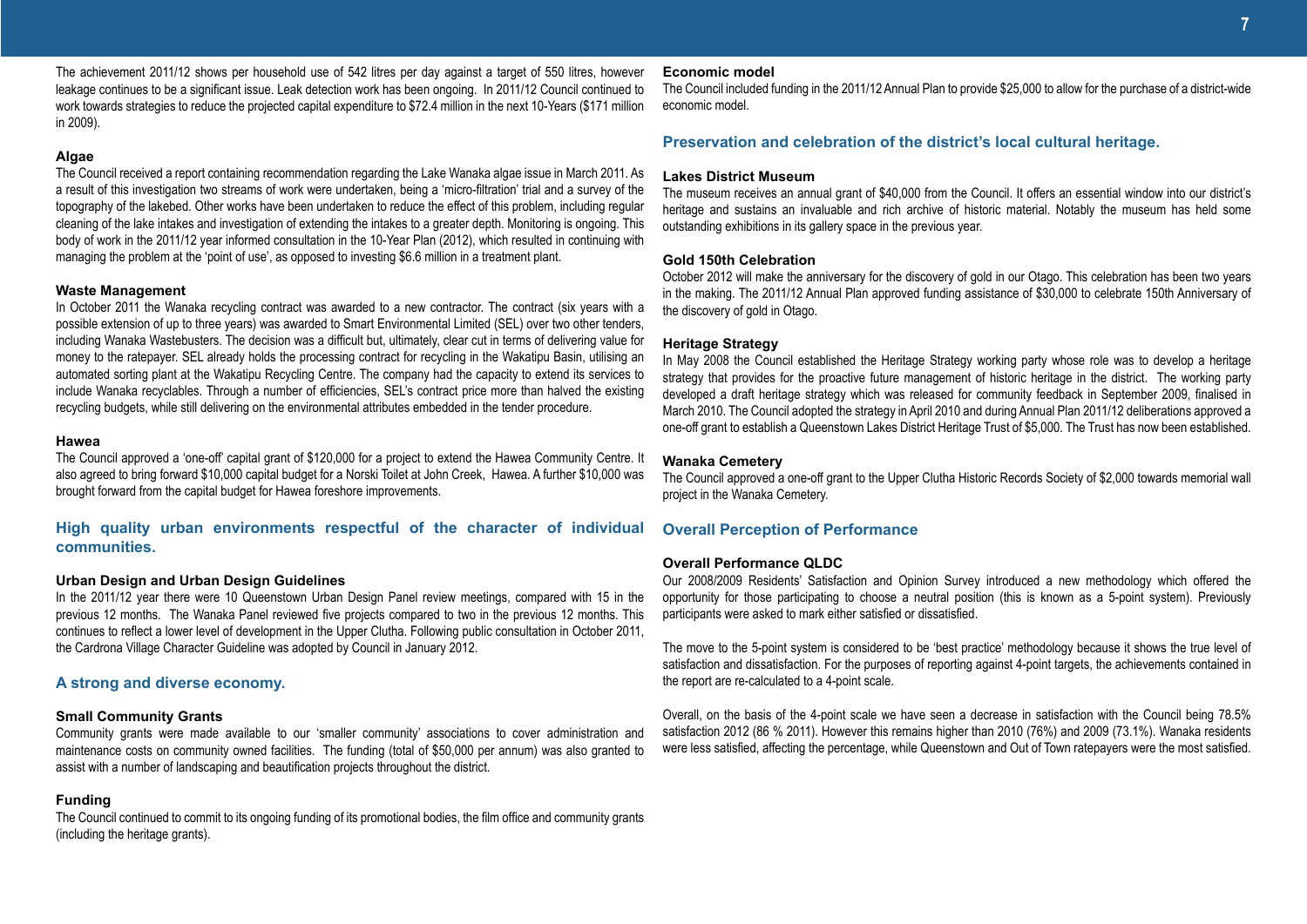The achievement 2011/12 shows per household use of 542 litres per day against a target of 550 litres, however leakage continues to be a significant issue. Leak detection work has been ongoing. In 2011/12 Council continued to work towards strategies to reduce the projected capital expenditure to \$72.4 million in the next 10-Years (\$171 million in 2009).

#### **Algae**

The Council received a report containing recommendation regarding the Lake Wanaka algae issue in March 2011. As a result of this investigation two streams of work were undertaken, being a 'micro-filtration' trial and a survey of the topography of the lakebed. Other works have been undertaken to reduce the effect of this problem, including regular cleaning of the lake intakes and investigation of extending the intakes to a greater depth. Monitoring is ongoing. This body of work in the 2011/12 year informed consultation in the 10-Year Plan (2012), which resulted in continuing with managing the problem at the 'point of use', as opposed to investing \$6.6 million in a treatment plant.

#### **Waste Management**

In October 2011 the Wanaka recycling contract was awarded to a new contractor. The contract (six years with a possible extension of up to three years) was awarded to Smart Environmental Limited (SEL) over two other tenders, including Wanaka Wastebusters. The decision was a difficult but, ultimately, clear cut in terms of delivering value for money to the ratepayer. SEL already holds the processing contract for recycling in the Wakatipu Basin, utilising an automated sorting plant at the Wakatipu Recycling Centre. The company had the capacity to extend its services to include Wanaka recyclables. Through a number of efficiencies, SEL's contract price more than halved the existing recycling budgets, while still delivering on the environmental attributes embedded in the tender procedure.

#### **Hawea**

The Council approved a 'one-off' capital grant of \$120,000 for a project to extend the Hawea Community Centre. It also agreed to bring forward \$10,000 capital budget for a Norski Toilet at John Creek, Hawea. A further \$10,000 was brought forward from the capital budget for Hawea foreshore improvements.

#### **High quality urban environments respectful of the character of individual communities.**

#### **Urban Design and Urban Design Guidelines**

In the 2011/12 year there were 10 Queenstown Urban Design Panel review meetings, compared with 15 in the previous 12 months. The Wanaka Panel reviewed five projects compared to two in the previous 12 months. This continues to reflect a lower level of development in the Upper Clutha. Following public consultation in October 2011, the Cardrona Village Character Guideline was adopted by Council in January 2012.

#### **A strong and diverse economy.**

#### **Small Community Grants**

Community grants were made available to our 'smaller community' associations to cover administration and maintenance costs on community owned facilities. The funding (total of \$50,000 per annum) was also granted to assist with a number of landscaping and beautification projects throughout the district.

#### **Funding**

The Council continued to commit to its ongoing funding of its promotional bodies, the film office and community grants (including the heritage grants).

#### **Economic model**

The Council included funding in the 2011/12 Annual Plan to provide \$25,000 to allow for the purchase of a district-wide economic model.

#### **Preservation and celebration of the district's local cultural heritage.**

#### **Lakes District Museum**

The museum receives an annual grant of \$40,000 from the Council. It offers an essential window into our district's heritage and sustains an invaluable and rich archive of historic material. Notably the museum has held some outstanding exhibitions in its gallery space in the previous year.

#### **Gold 150th Celebration**

October 2012 will make the anniversary for the discovery of gold in our Otago. This celebration has been two years in the making. The 2011/12 Annual Plan approved funding assistance of \$30,000 to celebrate 150th Anniversary of the discovery of gold in Otago.

#### **Heritage Strategy**

In May 2008 the Council established the Heritage Strategy working party whose role was to develop a heritage strategy that provides for the proactive future management of historic heritage in the district. The working party developed a draft heritage strategy which was released for community feedback in September 2009, finalised in March 2010. The Council adopted the strategy in April 2010 and during Annual Plan 2011/12 deliberations approved a one-off grant to establish a Queenstown Lakes District Heritage Trust of \$5,000. The Trust has now been established.

#### **Wanaka Cemetery**

The Council approved a one-off grant to the Upper Clutha Historic Records Society of \$2,000 towards memorial wall project in the Wanaka Cemetery.

#### **Overall Perception of Performance**

#### **Overall Performance QLDC**

Our 2008/2009 Residents' Satisfaction and Opinion Survey introduced a new methodology which offered the opportunity for those participating to choose a neutral position (this is known as a 5-point system). Previously participants were asked to mark either satisfied or dissatisfied.

The move to the 5-point system is considered to be 'best practice' methodology because it shows the true level of satisfaction and dissatisfaction. For the purposes of reporting against 4-point targets, the achievements contained in the report are re-calculated to a 4-point scale.

Overall, on the basis of the 4-point scale we have seen a decrease in satisfaction with the Council being 78.5% satisfaction 2012 (86 % 2011). However this remains higher than 2010 (76%) and 2009 (73.1%). Wanaka residents were less satisfied, affecting the percentage, while Queenstown and Out of Town ratepayers were the most satisfied.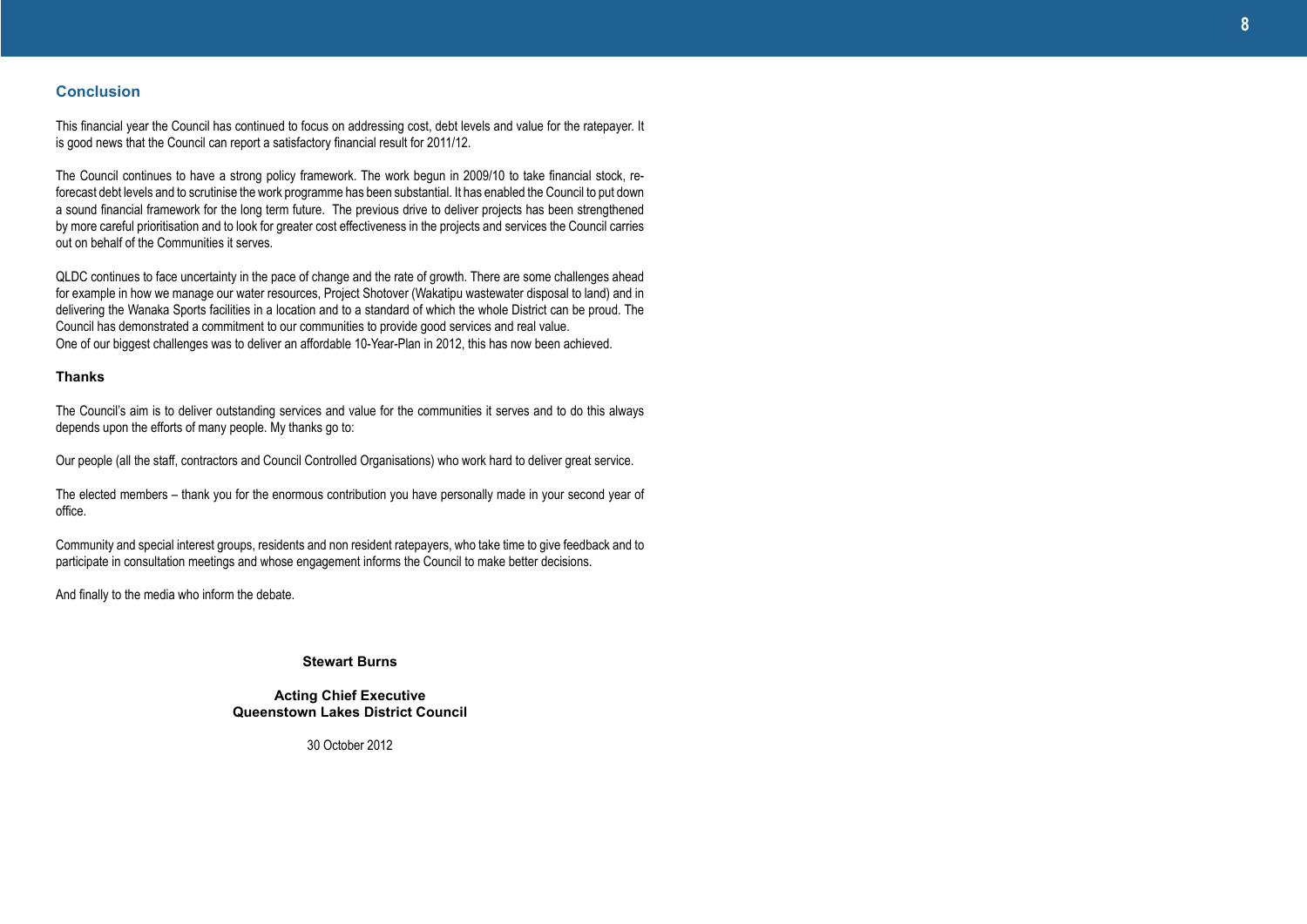#### **Conclusion**

This financial year the Council has continued to focus on addressing cost, debt levels and value for the ratepayer. It is good news that the Council can report a satisfactory financial result for 2011/12.

The Council continues to have a strong policy framework. The work begun in 2009/10 to take financial stock, reforecast debt levels and to scrutinise the work programme has been substantial. It has enabled the Council to put down a sound financial framework for the long term future. The previous drive to deliver projects has been strengthened by more careful prioritisation and to look for greater cost effectiveness in the projects and services the Council carries out on behalf of the Communities it serves.

QLDC continues to face uncertainty in the pace of change and the rate of growth. There are some challenges ahead for example in how we manage our water resources, Project Shotover (Wakatipu wastewater disposal to land) and in delivering the Wanaka Sports facilities in a location and to a standard of which the whole District can be proud. The Council has demonstrated a commitment to our communities to provide good services and real value. One of our biggest challenges was to deliver an affordable 10-Year-Plan in 2012, this has now been achieved.

#### **Thanks**

The Council's aim is to deliver outstanding services and value for the communities it serves and to do this always depends upon the efforts of many people. My thanks go to:

Our people (all the staff, contractors and Council Controlled Organisations) who work hard to deliver great service.

The elected members – thank you for the enormous contribution you have personally made in your second year of office.

Community and special interest groups, residents and non resident ratepayers, who take time to give feedback and to participate in consultation meetings and whose engagement informs the Council to make better decisions.

And finally to the media who inform the debate.

#### **Stewart Burns**

#### **Acting Chief Executive Queenstown Lakes District Council**

30 October 2012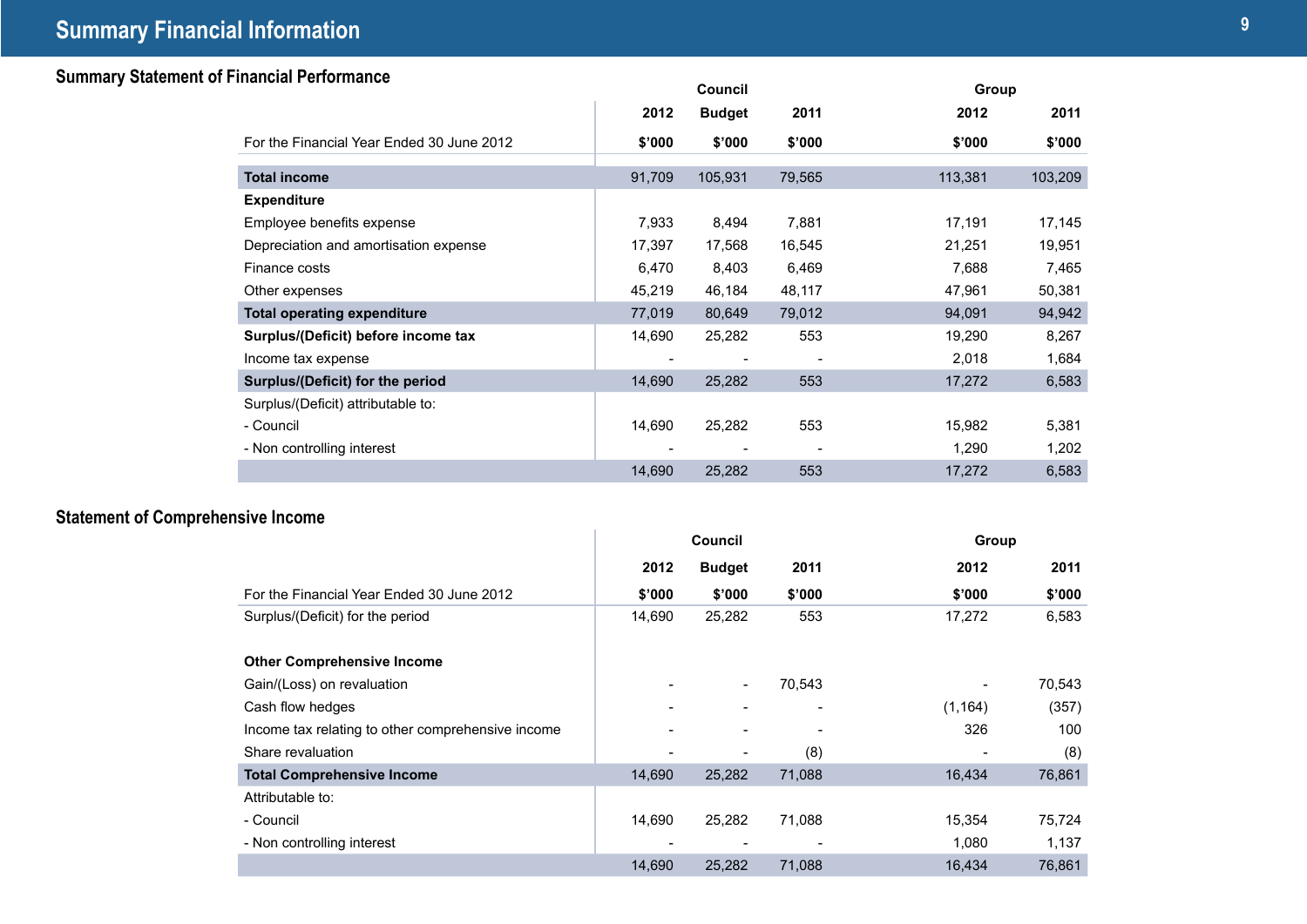## **<sup>9</sup> Summary Financial Information**

## **Summary Statement of Financial Performance Council Group Group Group Group Group Group Group Group Group Group Group Group Group Group Group Group Group Group Group Group Group**

|                                           |        | Council       |        | Group   |         |  |
|-------------------------------------------|--------|---------------|--------|---------|---------|--|
|                                           | 2012   | <b>Budget</b> | 2011   | 2012    | 2011    |  |
| For the Financial Year Ended 30 June 2012 | \$'000 | \$'000        | \$'000 | \$'000  | \$'000  |  |
| <b>Total income</b>                       | 91,709 | 105,931       | 79,565 | 113,381 | 103,209 |  |
| <b>Expenditure</b>                        |        |               |        |         |         |  |
| Employee benefits expense                 | 7,933  | 8,494         | 7,881  | 17,191  | 17,145  |  |
| Depreciation and amortisation expense     | 17,397 | 17,568        | 16,545 | 21,251  | 19,951  |  |
| Finance costs                             | 6,470  | 8,403         | 6,469  | 7,688   | 7,465   |  |
| Other expenses                            | 45,219 | 46,184        | 48,117 | 47,961  | 50,381  |  |
| <b>Total operating expenditure</b>        | 77,019 | 80,649        | 79,012 | 94,091  | 94,942  |  |
| Surplus/(Deficit) before income tax       | 14,690 | 25,282        | 553    | 19,290  | 8,267   |  |
| Income tax expense                        |        |               |        | 2,018   | 1,684   |  |
| Surplus/(Deficit) for the period          | 14,690 | 25,282        | 553    | 17,272  | 6,583   |  |
| Surplus/(Deficit) attributable to:        |        |               |        |         |         |  |
| - Council                                 | 14,690 | 25,282        | 553    | 15,982  | 5,381   |  |
| - Non controlling interest                |        |               |        | 1,290   | 1,202   |  |
|                                           | 14,690 | 25,282        | 553    | 17,272  | 6,583   |  |

## **Statement of Comprehensive Income**

|                                                   |        | Council                  |        |          | Group  |
|---------------------------------------------------|--------|--------------------------|--------|----------|--------|
|                                                   | 2012   | <b>Budget</b>            | 2011   | 2012     | 2011   |
| For the Financial Year Ended 30 June 2012         | \$'000 | \$'000                   | \$'000 | \$'000   | \$'000 |
| Surplus/(Deficit) for the period                  | 14,690 | 25,282                   | 553    | 17,272   | 6,583  |
| <b>Other Comprehensive Income</b>                 |        |                          |        |          |        |
| Gain/(Loss) on revaluation                        |        | $\overline{\phantom{a}}$ | 70,543 |          | 70,543 |
| Cash flow hedges                                  |        |                          |        | (1, 164) | (357)  |
| Income tax relating to other comprehensive income |        |                          |        | 326      | 100    |
| Share revaluation                                 |        |                          | (8)    |          | (8)    |
| <b>Total Comprehensive Income</b>                 | 14,690 | 25,282                   | 71,088 | 16,434   | 76,861 |
| Attributable to:                                  |        |                          |        |          |        |
| - Council                                         | 14,690 | 25,282                   | 71,088 | 15,354   | 75,724 |
| - Non controlling interest                        |        |                          |        | 1,080    | 1,137  |
|                                                   | 14,690 | 25,282                   | 71,088 | 16,434   | 76,861 |

÷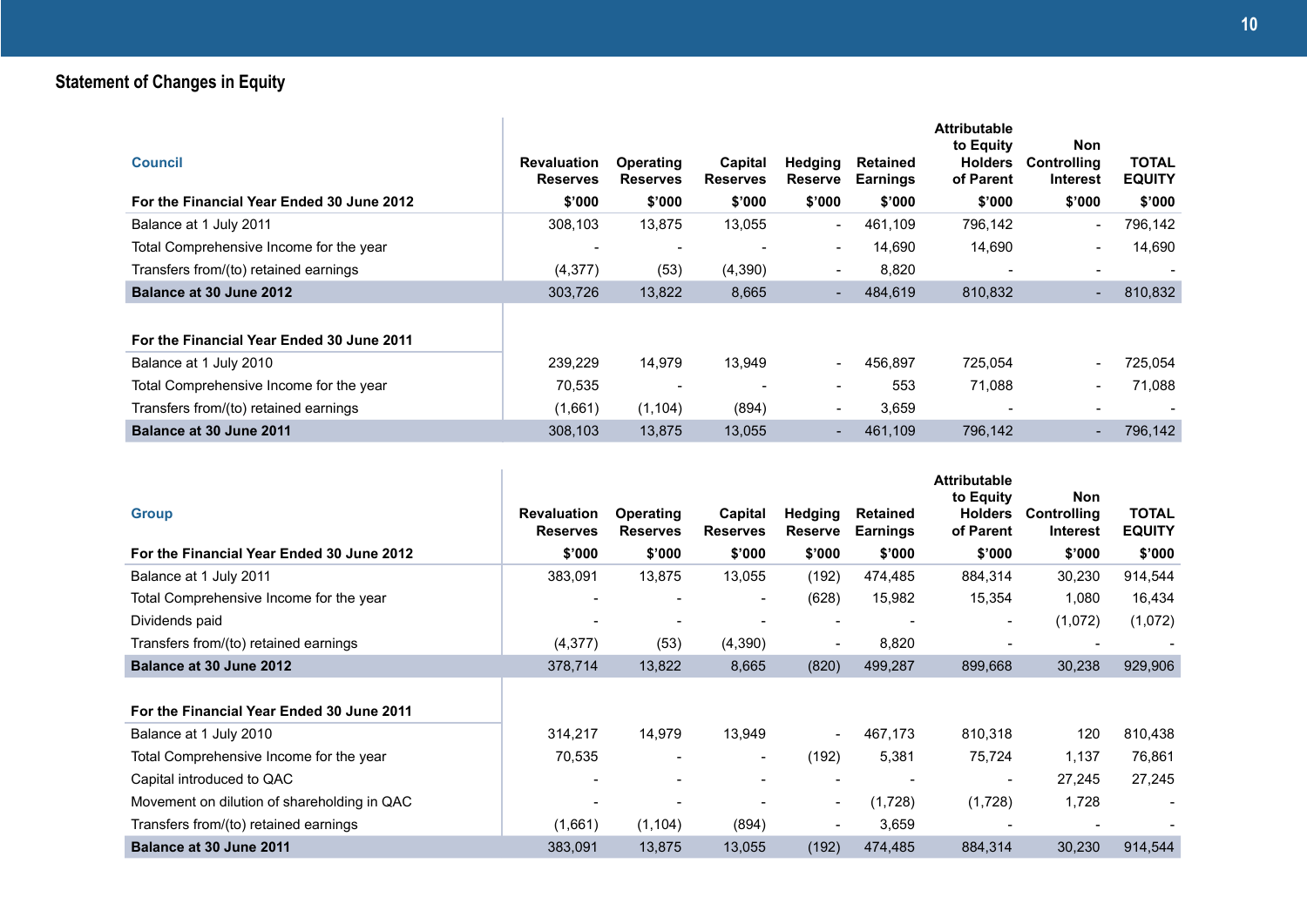## **Statement of Changes in Equity**

| <b>Council</b><br>For the Financial Year Ended 30 June 2012 | <b>Revaluation</b><br><b>Reserves</b><br>\$'000 | <b>Operating</b><br><b>Reserves</b><br>\$'000 | Capital<br><b>Reserves</b><br>\$'000 | <b>Hedging</b><br><b>Reserve</b><br>\$'000 | <b>Retained</b><br><b>Earnings</b><br>\$'000 | <b>Attributable</b><br>to Equity<br><b>Holders</b><br>of Parent<br>\$'000 | <b>Non</b><br><b>Controlling</b><br>Interest<br>\$'000 | TOTAL<br><b>EQUITY</b><br>\$'000 |
|-------------------------------------------------------------|-------------------------------------------------|-----------------------------------------------|--------------------------------------|--------------------------------------------|----------------------------------------------|---------------------------------------------------------------------------|--------------------------------------------------------|----------------------------------|
| Balance at 1 July 2011                                      | 308,103                                         | 13,875                                        | 13,055                               | $\overline{\phantom{a}}$                   | 461.109                                      | 796,142                                                                   | $\overline{\phantom{0}}$                               | 796,142                          |
| Total Comprehensive Income for the year                     | $\blacksquare$                                  | $\overline{\phantom{0}}$                      |                                      | $\overline{\phantom{a}}$                   | 14,690                                       | 14,690                                                                    | Ξ.                                                     | 14,690                           |
| Transfers from/(to) retained earnings                       | (4,377)                                         | (53)                                          | (4,390)                              | $\overline{\phantom{a}}$                   | 8,820                                        | $\overline{\phantom{a}}$                                                  |                                                        | $\overline{\phantom{a}}$         |
| Balance at 30 June 2012                                     | 303,726                                         | 13,822                                        | 8,665                                | ٠                                          | 484,619                                      | 810,832                                                                   |                                                        | 810,832                          |
| For the Financial Year Ended 30 June 2011                   |                                                 |                                               |                                      |                                            |                                              |                                                                           |                                                        |                                  |
| Balance at 1 July 2010                                      | 239,229                                         | 14,979                                        | 13,949                               | $\blacksquare$                             | 456,897                                      | 725,054                                                                   |                                                        | 725.054                          |
| Total Comprehensive Income for the year                     | 70,535                                          |                                               |                                      | $\overline{\phantom{a}}$                   | 553                                          | 71,088                                                                    | Ξ.                                                     | 71,088                           |
| Transfers from/(to) retained earnings                       | (1,661)                                         | (1, 104)                                      | (894)                                | $\overline{\phantom{a}}$                   | 3,659                                        |                                                                           |                                                        |                                  |
| Balance at 30 June 2011                                     | 308,103                                         | 13,875                                        | 13,055                               | $\overline{\phantom{a}}$                   | 461,109                                      | 796,142                                                                   |                                                        | 796,142                          |

| <b>Group</b>                                | <b>Revaluation</b><br><b>Reserves</b> | <b>Operating</b><br><b>Reserves</b> | Capital<br><b>Reserves</b> | Hedging<br><b>Reserve</b> | <b>Retained</b><br><b>Earnings</b> | <b>Attributable</b><br>to Equity<br><b>Holders</b><br>of Parent | <b>Non</b><br><b>Controlling</b><br><b>Interest</b> | <b>TOTAL</b><br><b>EQUITY</b> |
|---------------------------------------------|---------------------------------------|-------------------------------------|----------------------------|---------------------------|------------------------------------|-----------------------------------------------------------------|-----------------------------------------------------|-------------------------------|
| For the Financial Year Ended 30 June 2012   | \$'000                                | \$'000                              | \$'000                     | \$'000                    | \$'000                             | \$'000                                                          | \$'000                                              | \$'000                        |
| Balance at 1 July 2011                      | 383,091                               | 13,875                              | 13,055                     | (192)                     | 474,485                            | 884,314                                                         | 30,230                                              | 914,544                       |
| Total Comprehensive Income for the year     |                                       |                                     | $\overline{\phantom{a}}$   | (628)                     | 15,982                             | 15,354                                                          | 1,080                                               | 16,434                        |
| Dividends paid                              |                                       |                                     |                            | $\overline{\phantom{a}}$  | $\overline{\phantom{a}}$           | $\overline{\phantom{a}}$                                        | (1,072)                                             | (1,072)                       |
| Transfers from/(to) retained earnings       | (4,377)                               | (53)                                | (4,390)                    | $\overline{\phantom{a}}$  | 8,820                              |                                                                 |                                                     |                               |
| Balance at 30 June 2012                     | 378,714                               | 13,822                              | 8,665                      | (820)                     | 499,287                            | 899,668                                                         | 30,238                                              | 929,906                       |
|                                             |                                       |                                     |                            |                           |                                    |                                                                 |                                                     |                               |
| For the Financial Year Ended 30 June 2011   |                                       |                                     |                            |                           |                                    |                                                                 |                                                     |                               |
| Balance at 1 July 2010                      | 314,217                               | 14,979                              | 13,949                     | $\overline{\phantom{a}}$  | 467,173                            | 810,318                                                         | 120                                                 | 810,438                       |
| Total Comprehensive Income for the year     | 70,535                                | $\blacksquare$                      | $\overline{\phantom{a}}$   | (192)                     | 5,381                              | 75,724                                                          | 1,137                                               | 76,861                        |
| Capital introduced to QAC                   |                                       |                                     |                            | $\overline{\phantom{a}}$  |                                    |                                                                 | 27,245                                              | 27,245                        |
| Movement on dilution of shareholding in QAC | $\overline{\phantom{a}}$              |                                     |                            | $\overline{\phantom{a}}$  | (1,728)                            | (1,728)                                                         | 1,728                                               |                               |
| Transfers from/(to) retained earnings       | (1,661)                               | (1, 104)                            | (894)                      | $\overline{\phantom{a}}$  | 3,659                              |                                                                 |                                                     |                               |
| Balance at 30 June 2011                     | 383,091                               | 13,875                              | 13,055                     | (192)                     | 474,485                            | 884,314                                                         | 30,230                                              | 914,544                       |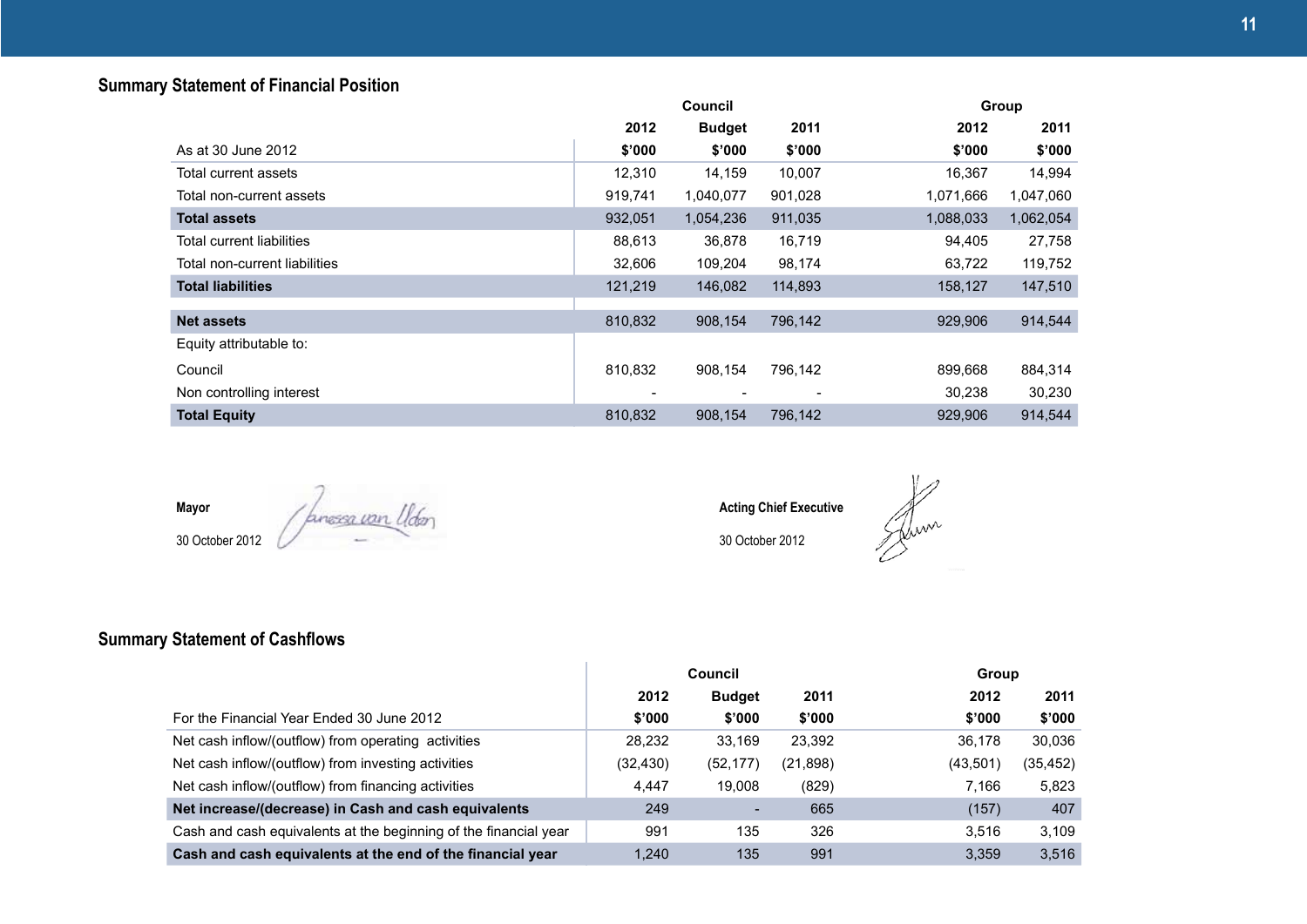### **Summary Statement of Financial Position**

|                               |         | Council       |         | Group     |           |
|-------------------------------|---------|---------------|---------|-----------|-----------|
|                               | 2012    | <b>Budget</b> | 2011    | 2012      | 2011      |
| As at 30 June 2012            | \$'000  | \$'000        | \$'000  | \$'000    | \$'000    |
| Total current assets          | 12,310  | 14,159        | 10,007  | 16,367    | 14,994    |
| Total non-current assets      | 919,741 | 1,040,077     | 901,028 | 1,071,666 | 1,047,060 |
| Total assets                  | 932,051 | 1,054,236     | 911,035 | 1,088,033 | 1,062,054 |
| Total current liabilities     | 88,613  | 36,878        | 16,719  | 94,405    | 27,758    |
| Total non-current liabilities | 32,606  | 109,204       | 98,174  | 63,722    | 119,752   |
| <b>Total liabilities</b>      | 121,219 | 146,082       | 114,893 | 158,127   | 147,510   |
|                               |         |               |         |           |           |
| <b>Net assets</b>             | 810,832 | 908,154       | 796,142 | 929,906   | 914,544   |
| Equity attributable to:       |         |               |         |           |           |
| Council                       | 810,832 | 908.154       | 796,142 | 899,668   | 884,314   |
| Non controlling interest      |         |               |         | 30,238    | 30,230    |
| <b>Total Equity</b>           | 810,832 | 908.154       | 796.142 | 929,906   | 914.544   |

**Mayor**

30 October 2012

**Acting Chief Executive**

30 October 2012

## **Summary Statement of Cashflows**

|                                                                  |           | <b>Council</b> | <b>Group</b> |          |          |
|------------------------------------------------------------------|-----------|----------------|--------------|----------|----------|
|                                                                  | 2012      | <b>Budget</b>  | 2011         | 2012     | 2011     |
| For the Financial Year Ended 30 June 2012                        | \$'000    | \$'000         | \$'000       | \$'000   | \$'000   |
| Net cash inflow/(outflow) from operating activities              | 28,232    | 33.169         | 23,392       | 36.178   | 30.036   |
| Net cash inflow/(outflow) from investing activities              | (32, 430) | (52, 177)      | (21,898)     | (43,501) | (35,452) |
| Net cash inflow/(outflow) from financing activities              | 4,447     | 19.008         | (829)        | 7.166    | 5,823    |
| Net increase/(decrease) in Cash and cash equivalents             | 249       | -              | 665          | (157)    | 407      |
| Cash and cash equivalents at the beginning of the financial year | 991       | 135            | 326          | 3.516    | 3.109    |
| Cash and cash equivalents at the end of the financial year       | 1.240     | 135            | 991          | 3.359    | 3.516    |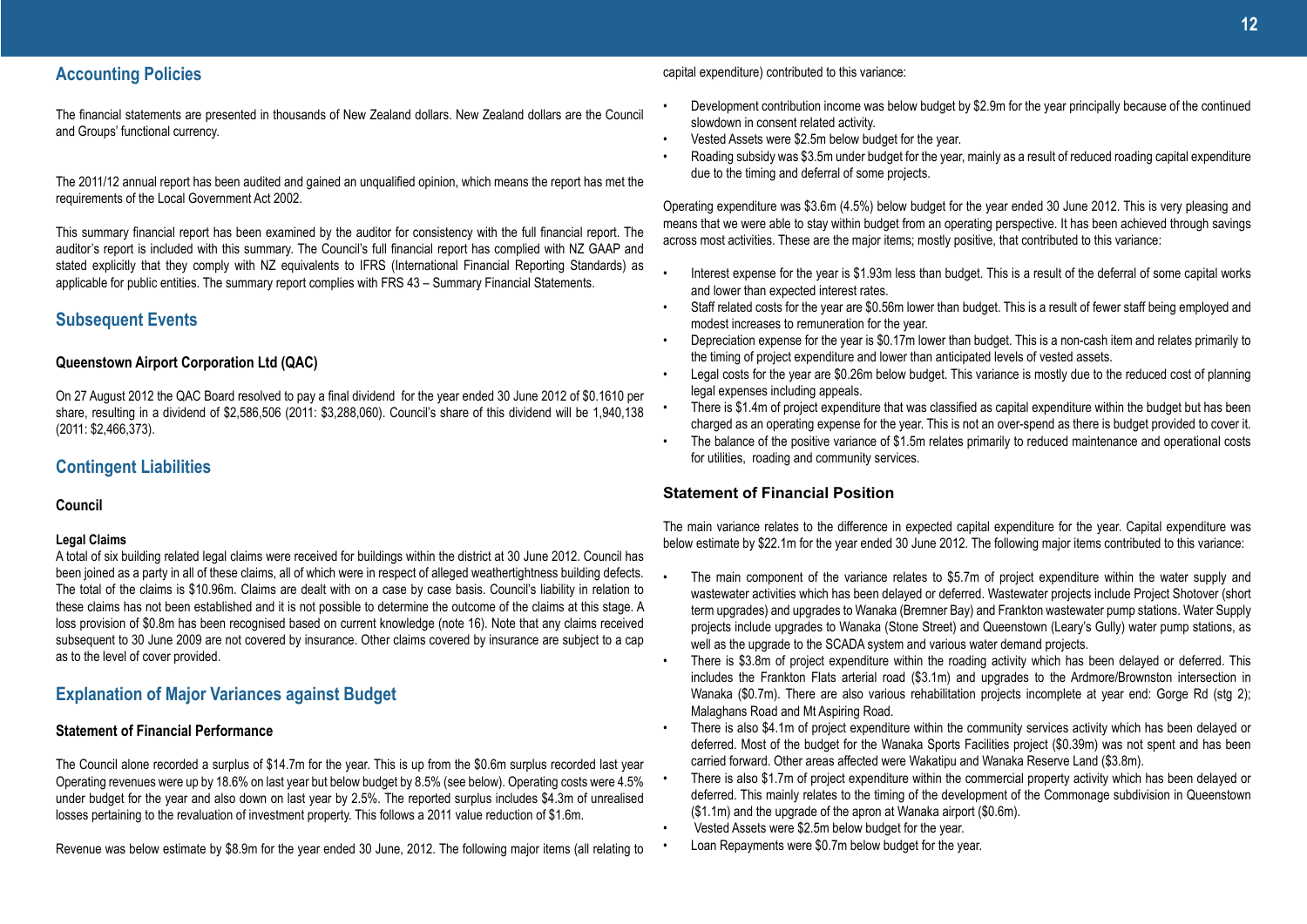The financial statements are presented in thousands of New Zealand dollars. New Zealand dollars are the Council and Groups' functional currency.

The 2011/12 annual report has been audited and gained an unqualified opinion, which means the report has met the requirements of the Local Government Act 2002.

This summary financial report has been examined by the auditor for consistency with the full financial report. The auditor's report is included with this summary. The Council's full financial report has complied with NZ GAAP and stated explicitly that they comply with NZ equivalents to IFRS (International Financial Reporting Standards) as applicable for public entities. The summary report complies with FRS 43 – Summary Financial Statements.

### **Subsequent Events**

#### **Queenstown Airport Corporation Ltd (QAC)**

On 27 August 2012 the QAC Board resolved to pay a final dividend for the year ended 30 June 2012 of \$0.1610 per share, resulting in a dividend of \$2,586,506 (2011: \$3,288,060). Council's share of this dividend will be 1,940,138 (2011: \$2,466,373).

### **Contingent Liabilities**

#### **Council**

#### **Legal Claims**

A total of six building related legal claims were received for buildings within the district at 30 June 2012. Council has been joined as a party in all of these claims, all of which were in respect of alleged weathertightness building defects. The total of the claims is \$10.96m. Claims are dealt with on a case by case basis. Council's liability in relation to these claims has not been established and it is not possible to determine the outcome of the claims at this stage. A loss provision of \$0.8m has been recognised based on current knowledge (note 16). Note that any claims received subsequent to 30 June 2009 are not covered by insurance. Other claims covered by insurance are subject to a cap as to the level of cover provided.

### **Explanation of Major Variances against Budget**

#### **Statement of Financial Performance**

The Council alone recorded a surplus of \$14.7m for the year. This is up from the \$0.6m surplus recorded last year Operating revenues were up by 18.6% on last year but below budget by 8.5% (see below). Operating costs were 4.5% under budget for the year and also down on last year by 2.5%. The reported surplus includes \$4.3m of unrealised losses pertaining to the revaluation of investment property. This follows a 2011 value reduction of \$1.6m.

Revenue was below estimate by \$8.9m for the year ended 30 June, 2012. The following major items (all relating to

capital expenditure) contributed to this variance:

- Development contribution income was below budget by \$2.9m for the year principally because of the continued slowdown in consent related activity.
- Vested Assets were \$2.5m below budget for the year.
- Roading subsidy was \$3.5m under budget for the year, mainly as a result of reduced roading capital expenditure due to the timing and deferral of some projects.

Operating expenditure was \$3.6m (4.5%) below budget for the year ended 30 June 2012. This is very pleasing and means that we were able to stay within budget from an operating perspective. It has been achieved through savings across most activities. These are the major items; mostly positive, that contributed to this variance:

- Interest expense for the year is \$1.93m less than budget. This is a result of the deferral of some capital works and lower than expected interest rates.
- Staff related costs for the year are \$0.56m lower than budget. This is a result of fewer staff being employed and modest increases to remuneration for the year.
- Depreciation expense for the year is \$0.17m lower than budget. This is a non-cash item and relates primarily to the timing of project expenditure and lower than anticipated levels of vested assets.
- Legal costs for the year are \$0.26m below budget. This variance is mostly due to the reduced cost of planning legal expenses including appeals.
- There is \$1.4m of project expenditure that was classified as capital expenditure within the budget but has been charged as an operating expense for the year. This is not an over-spend as there is budget provided to cover it.
- The balance of the positive variance of \$1.5m relates primarily to reduced maintenance and operational costs for utilities, roading and community services.

### **Statement of Financial Position**

The main variance relates to the difference in expected capital expenditure for the year. Capital expenditure was below estimate by \$22.1m for the year ended 30 June 2012. The following major items contributed to this variance:

- The main component of the variance relates to \$5.7m of project expenditure within the water supply and wastewater activities which has been delayed or deferred. Wastewater projects include Project Shotover (short term upgrades) and upgrades to Wanaka (Bremner Bay) and Frankton wastewater pump stations. Water Supply projects include upgrades to Wanaka (Stone Street) and Queenstown (Leary's Gully) water pump stations, as well as the upgrade to the SCADA system and various water demand projects.
- There is \$3.8m of project expenditure within the roading activity which has been delayed or deferred. This includes the Frankton Flats arterial road (\$3.1m) and upgrades to the Ardmore/Brownston intersection in Wanaka (\$0.7m). There are also various rehabilitation projects incomplete at year end: Gorge Rd (stg 2); Malaghans Road and Mt Aspiring Road.
- There is also \$4.1m of project expenditure within the community services activity which has been delayed or deferred. Most of the budget for the Wanaka Sports Facilities project (\$0.39m) was not spent and has been carried forward. Other areas affected were Wakatipu and Wanaka Reserve Land (\$3.8m).
- There is also \$1.7m of project expenditure within the commercial property activity which has been delayed or deferred. This mainly relates to the timing of the development of the Commonage subdivision in Queenstown (\$1.1m) and the upgrade of the apron at Wanaka airport (\$0.6m).
- Vested Assets were \$2.5m below budget for the year.
- Loan Repayments were \$0.7m below budget for the year.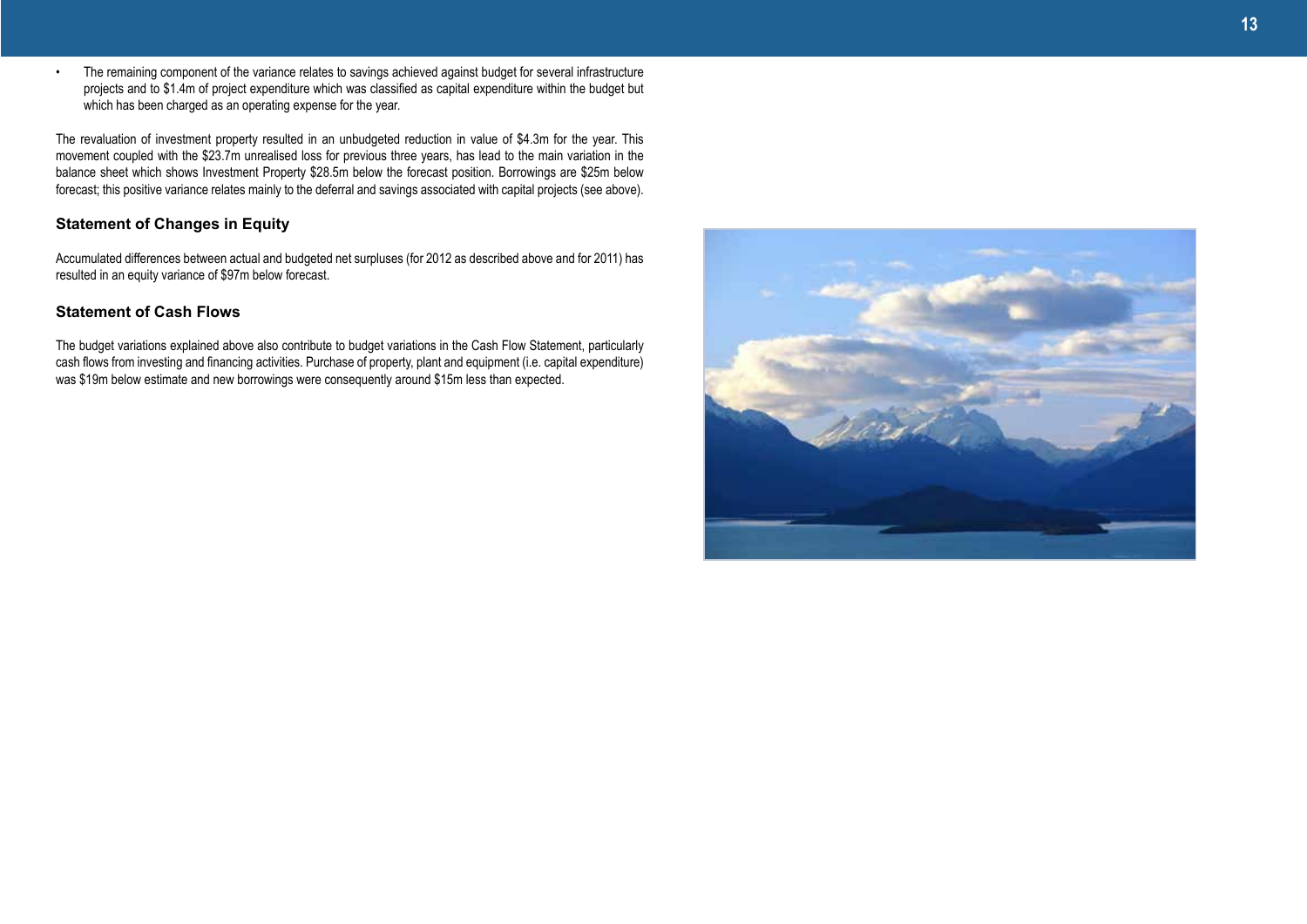• The remaining component of the variance relates to savings achieved against budget for several infrastructure projects and to \$1.4m of project expenditure which was classified as capital expenditure within the budget but which has been charged as an operating expense for the year.

The revaluation of investment property resulted in an unbudgeted reduction in value of \$4.3m for the year. This movement coupled with the \$23.7m unrealised loss for previous three years, has lead to the main variation in the balance sheet which shows Investment Property \$28.5m below the forecast position. Borrowings are \$25m below forecast; this positive variance relates mainly to the deferral and savings associated with capital projects (see above).

### **Statement of Changes in Equity**

Accumulated differences between actual and budgeted net surpluses (for 2012 as described above and for 2011) has resulted in an equity variance of \$97m below forecast.

### **Statement of Cash Flows**

The budget variations explained above also contribute to budget variations in the Cash Flow Statement, particularly cash flows from investing and financing activities. Purchase of property, plant and equipment (i.e. capital expenditure) was \$19m below estimate and new borrowings were consequently around \$15m less than expected.

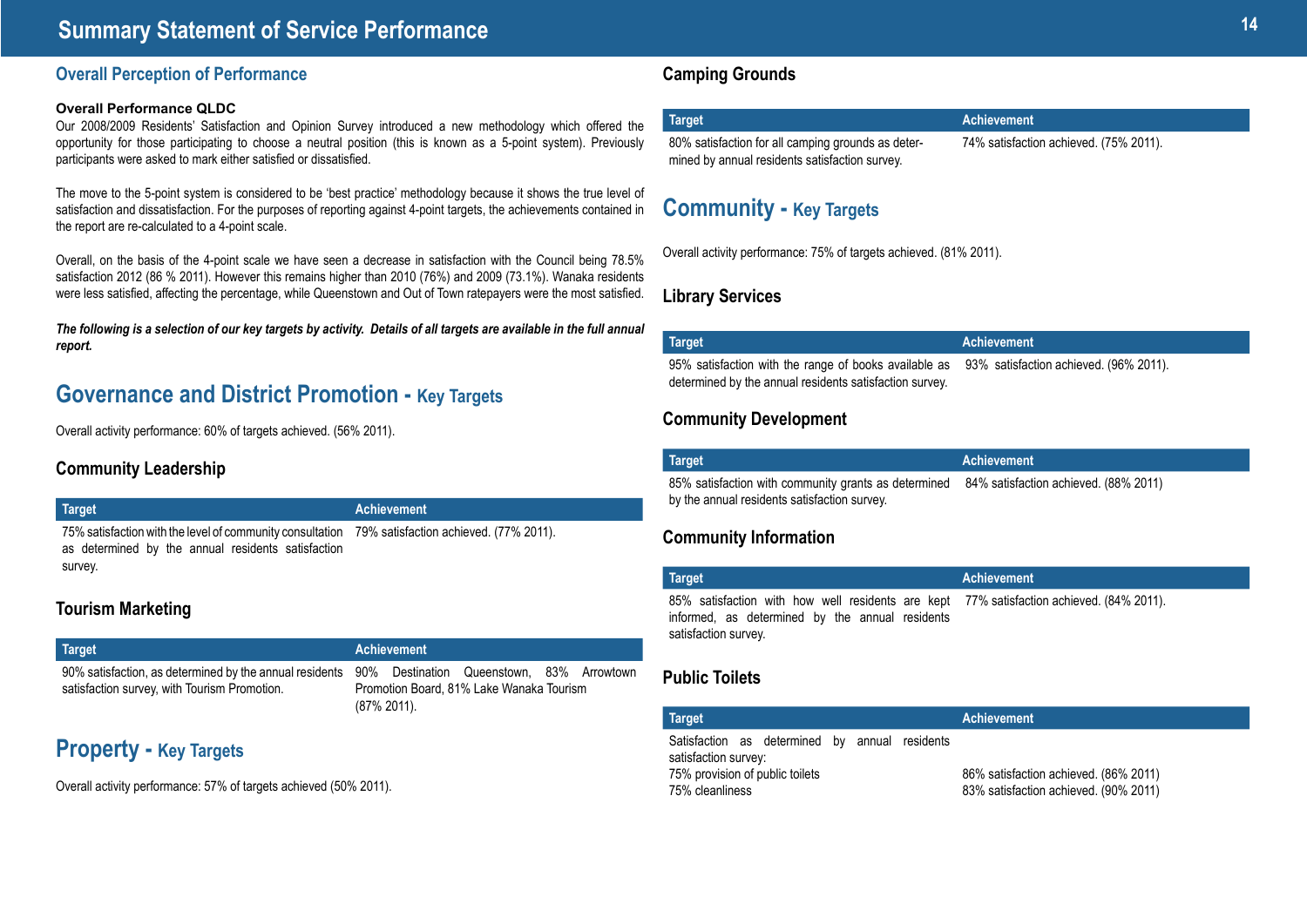## **<sup>14</sup> Summary Statement of Service Performance**

### **Overall Perception of Performance**

#### **Overall Performance QLDC**

Our 2008/2009 Residents' Satisfaction and Opinion Survey introduced a new methodology which offered the opportunity for those participating to choose a neutral position (this is known as a 5-point system). Previously participants were asked to mark either satisfied or dissatisfied.

The move to the 5-point system is considered to be 'best practice' methodology because it shows the true level of satisfaction and dissatisfaction. For the purposes of reporting against 4-point targets, the achievements contained in the report are re-calculated to a 4-point scale.

Overall, on the basis of the 4-point scale we have seen a decrease in satisfaction with the Council being 78.5% satisfaction 2012 (86 % 2011). However this remains higher than 2010 (76%) and 2009 (73.1%). Wanaka residents were less satisfied, affecting the percentage, while Queenstown and Out of Town ratepayers were the most satisfied.

*The following is a selection of our key targets by activity. Details of all targets are available in the full annual report.*

## **Governance and District Promotion - Key Targets**

Overall activity performance: 60% of targets achieved. (56% 2011).

### **Community Leadership**

#### **Target Achievement**

75% satisfaction with the level of community consultation 79% satisfaction achieved. (77% 2011). as determined by the annual residents satisfaction survey.

### **Tourism Marketing**

| Target                                       | <b>Achievement</b>                                                                                                                                           |
|----------------------------------------------|--------------------------------------------------------------------------------------------------------------------------------------------------------------|
| satisfaction survey, with Tourism Promotion. | 90% satisfaction, as determined by the annual residents 90% Destination Queenstown, 83% Arrowtown<br>Promotion Board, 81% Lake Wanaka Tourism<br>(87% 2011). |

## **Property - Key Targets**

Overall activity performance: 57% of targets achieved (50% 2011).

### **Camping Grounds**

| Target                                             | <b>Achievement</b>                     |
|----------------------------------------------------|----------------------------------------|
| 80% satisfaction for all camping grounds as deter- | 74% satisfaction achieved. (75% 2011). |
| mined by annual residents satisfaction survey.     |                                        |

## **Community - Key Targets**

Overall activity performance: 75% of targets achieved. (81% 2011).

### **Library Services**

| Target                                                                                                                                                  | Achievement |
|---------------------------------------------------------------------------------------------------------------------------------------------------------|-------------|
| 95% satisfaction with the range of books available as 93% satisfaction achieved. (96% 2011).<br>determined by the annual residents satisfaction survey. |             |

### **Community Development**

| <b>Target</b>                                                                                                                              | Achievement |
|--------------------------------------------------------------------------------------------------------------------------------------------|-------------|
| 85% satisfaction with community grants as determined 84% satisfaction achieved. (88% 2011)<br>by the annual residents satisfaction survey. |             |

### **Community Information**

| <b>Target</b>                                                                                                                                                       | Achievement |
|---------------------------------------------------------------------------------------------------------------------------------------------------------------------|-------------|
| 85% satisfaction with how well residents are kept 77% satisfaction achieved. (84% 2011).<br>informed, as determined by the annual residents<br>satisfaction survey. |             |

### **Public Toilets**

| <b>Target</b>                                                                                                                | <b>Achievement</b>                                                             |
|------------------------------------------------------------------------------------------------------------------------------|--------------------------------------------------------------------------------|
| Satisfaction as determined by annual residents<br>satisfaction survey:<br>75% provision of public toilets<br>75% cleanliness | 86% satisfaction achieved. (86% 2011)<br>83% satisfaction achieved. (90% 2011) |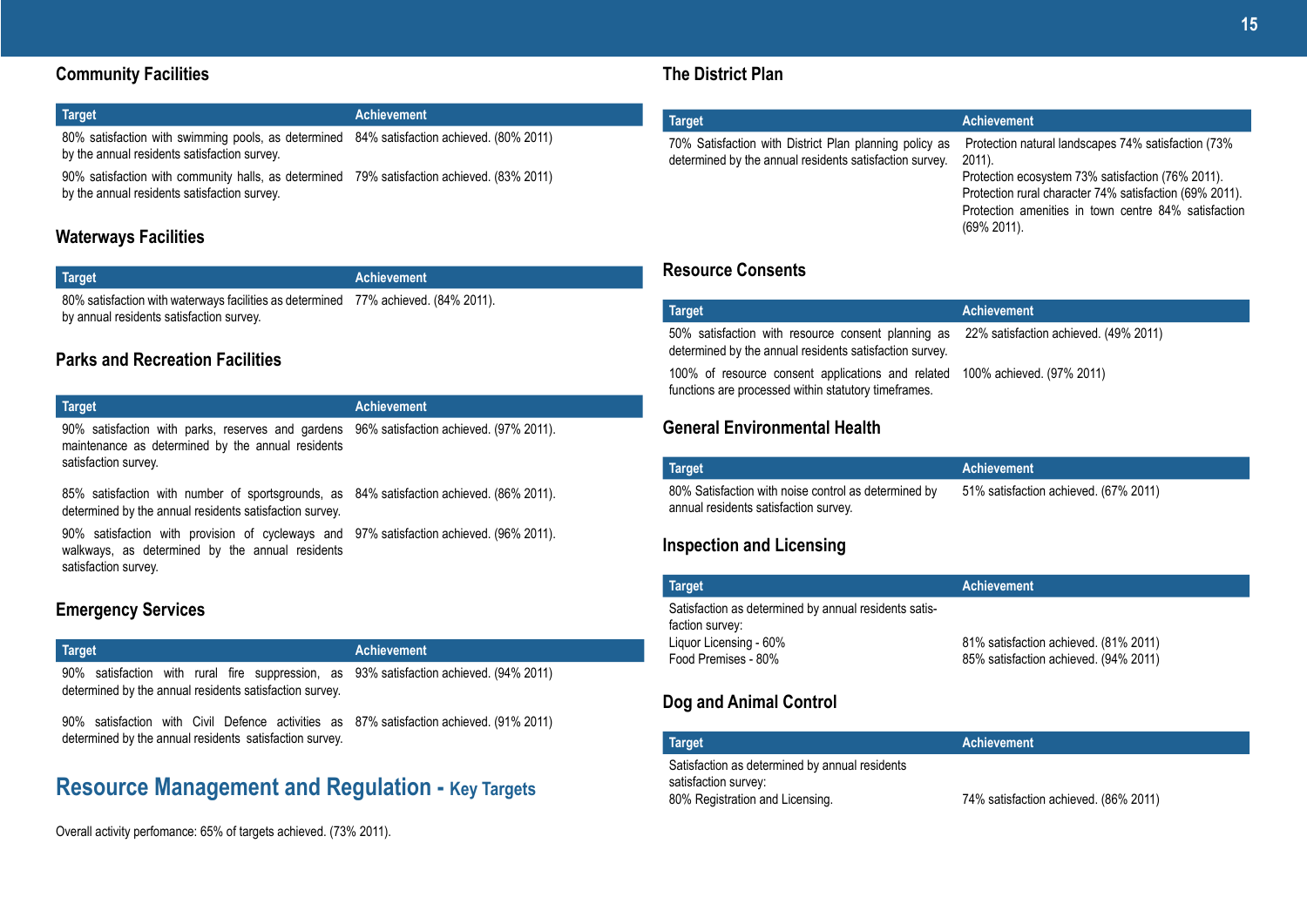| Target                                                                                    | <b>Achievement</b> |
|-------------------------------------------------------------------------------------------|--------------------|
| 80% satisfaction with swimming pools, as determined 84% satisfaction achieved. (80% 2011) |                    |
| by the annual residents satisfaction survey.                                              |                    |
| $- - - -$                                                                                 | ____               |

90% satisfaction with community halls, as determined 79% satisfaction achieved. (83% 2011) by the annual residents satisfaction survey.

### **Waterways Facilities**

| <b>Target</b> | Achievement |
|---------------|-------------|
|               |             |

**Target Achievement**

80% satisfaction with waterways facilities as determined 77% achieved. (84% 2011). by annual residents satisfaction survey.

### **Parks and Recreation Facilities**

| $\sim$                                                                                   |  |
|------------------------------------------------------------------------------------------|--|
| 90% satisfaction with parks, reserves and gardens 96% satisfaction achieved. (97% 2011). |  |
| maintenance as determined by the annual residents                                        |  |
| satisfaction survey.                                                                     |  |

85% satisfaction with number of sportsgrounds, as 84% satisfaction achieved. (86% 2011). determined by the annual residents satisfaction survey.

90% satisfaction with provision of cycleways and 97% satisfaction achieved. (96% 2011). walkways, as determined by the annual residents satisfaction survey.

### **Emergency Services**

## **Target Achievement**

90% satisfaction with rural fire suppression, as 93% satisfaction achieved. (94% 2011) determined by the annual residents satisfaction survey.

90% satisfaction with Civil Defence activities as 87% satisfaction achieved. (91% 2011) determined by the annual residents satisfaction survey.

## **Resource Management and Regulation - Key Targets**

Overall activity perfomance: 65% of targets achieved. (73% 2011).

### **The District Plan**

| <b>Target</b>                                                                                                     | <b>Achievement</b>                                                                                                                                                                                                                                       |
|-------------------------------------------------------------------------------------------------------------------|----------------------------------------------------------------------------------------------------------------------------------------------------------------------------------------------------------------------------------------------------------|
| 70% Satisfaction with District Plan planning policy as<br>determined by the annual residents satisfaction survey. | Protection natural landscapes 74% satisfaction (73%)<br>2011).<br>Protection ecosystem 73% satisfaction (76% 2011).<br>Protection rural character 74% satisfaction (69% 2011).<br>Protection amenities in town centre 84% satisfaction<br>$(69\% 2011).$ |
|                                                                                                                   |                                                                                                                                                                                                                                                          |

### **Resource Consents**

| Target                                                                                                                                               | <b>Achievement</b> |
|------------------------------------------------------------------------------------------------------------------------------------------------------|--------------------|
| 50% satisfaction with resource consent planning as  22% satisfaction achieved. (49% 2011)<br>determined by the annual residents satisfaction survey. |                    |
| 100% of resource consent applications and related 100% achieved. (97% 2011)<br>functions are processed within statutory timeframes.                  |                    |

### **General Environmental Health**

| <b>Target</b>                                        | Achievement                           |
|------------------------------------------------------|---------------------------------------|
| 80% Satisfaction with noise control as determined by | 51% satisfaction achieved. (67% 2011) |
| annual residents satisfaction survey.                |                                       |

### **Inspection and Licensing**

| <b>Target</b>                                                                                                             | <b>Achievement</b>                                                             |
|---------------------------------------------------------------------------------------------------------------------------|--------------------------------------------------------------------------------|
| Satisfaction as determined by annual residents satis-<br>faction survey:<br>Liquor Licensing - 60%<br>Food Premises - 80% | 81% satisfaction achieved. (81% 2011)<br>85% satisfaction achieved. (94% 2011) |

### **Dog and Animal Control**

| <b>Target</b> '                                                        | <b>Achievement</b>                    |
|------------------------------------------------------------------------|---------------------------------------|
| Satisfaction as determined by annual residents<br>satisfaction survey: |                                       |
| 80% Registration and Licensing.                                        | 74% satisfaction achieved. (86% 2011) |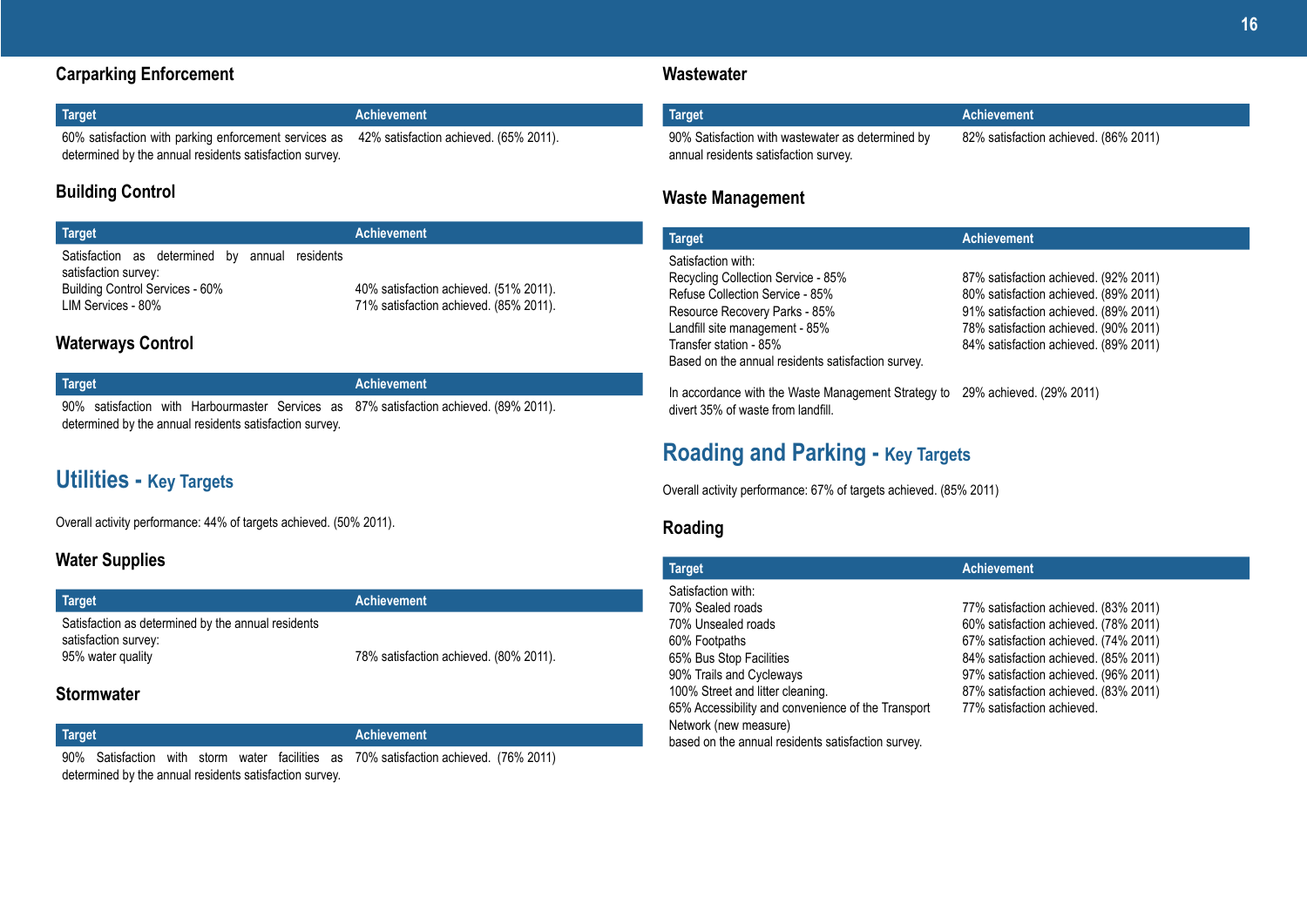### **Carparking Enforcement**

| Target                                                                                                                                                  | Achievement |
|---------------------------------------------------------------------------------------------------------------------------------------------------------|-------------|
| 60% satisfaction with parking enforcement services as 42% satisfaction achieved. (65% 2011).<br>determined by the annual residents satisfaction survey. |             |

### **Building Control**

| <b>Target</b>                                                                                                                   | <b>Achievement</b>                                                               |
|---------------------------------------------------------------------------------------------------------------------------------|----------------------------------------------------------------------------------|
| Satisfaction as determined by annual residents<br>satisfaction survey:<br>Building Control Services - 60%<br>LIM Services - 80% | 40% satisfaction achieved. (51% 2011).<br>71% satisfaction achieved. (85% 2011). |

### **Waterways Control**

| <b>Target</b>                                           |  |  |  |  | <b>Achievement</b> |                                                                                        |
|---------------------------------------------------------|--|--|--|--|--------------------|----------------------------------------------------------------------------------------|
|                                                         |  |  |  |  |                    | 90% satisfaction with Harbourmaster Services as 87% satisfaction achieved. (89% 2011). |
| determined by the annual residents satisfaction survey. |  |  |  |  |                    |                                                                                        |

## **Utilities - Key Targets**

Overall activity performance: 44% of targets achieved. (50% 2011).

### **Water Supplies**

| Target                                                                     | <b>Achievement</b>                     |
|----------------------------------------------------------------------------|----------------------------------------|
| Satisfaction as determined by the annual residents<br>satisfaction survey: |                                        |
| 95% water quality                                                          | 78% satisfaction achieved. (80% 2011). |

### **Stormwater**

| Target                                                  |  |  |  |  |  | <b>Achievement</b>                                                                    |  |
|---------------------------------------------------------|--|--|--|--|--|---------------------------------------------------------------------------------------|--|
|                                                         |  |  |  |  |  | 90% Satisfaction with storm water facilities as 70% satisfaction achieved. (76% 2011) |  |
| determined by the annual residents satisfaction survey. |  |  |  |  |  |                                                                                       |  |

### **Wastewater**

| <b>Target</b>                                                                              | Achievement                           |
|--------------------------------------------------------------------------------------------|---------------------------------------|
| 90% Satisfaction with wastewater as determined by<br>annual residents satisfaction survey. | 82% satisfaction achieved. (86% 2011) |

### **Waste Management**

| 87% satisfaction achieved. (92% 2011) |
|---------------------------------------|
|                                       |
|                                       |
| 80% satisfaction achieved. (89% 2011) |
| 91% satisfaction achieved. (89% 2011) |
| 78% satisfaction achieved. (90% 2011) |
| 84% satisfaction achieved. (89% 2011) |
|                                       |
|                                       |

In accordance with the Waste Management Strategy to 29% achieved. (29% 2011) divert 35% of waste from landfill.

## **Roading and Parking - Key Targets**

Overall activity performance: 67% of targets achieved. (85% 2011)

### **Roading**

| <b>Target</b>                                                               | <b>Achievement</b>                    |
|-----------------------------------------------------------------------------|---------------------------------------|
| Satisfaction with:                                                          |                                       |
| 70% Sealed roads                                                            | 77% satisfaction achieved. (83% 2011) |
| 70% Unsealed roads                                                          | 60% satisfaction achieved. (78% 2011) |
| 60% Footpaths                                                               | 67% satisfaction achieved. (74% 2011) |
| 65% Bus Stop Facilities                                                     | 84% satisfaction achieved. (85% 2011) |
| 90% Trails and Cycleways                                                    | 97% satisfaction achieved. (96% 2011) |
| 100% Street and litter cleaning.                                            | 87% satisfaction achieved. (83% 2011) |
| 65% Accessibility and convenience of the Transport<br>Network (new measure) | 77% satisfaction achieved.            |
| based on the annual residents satisfaction survey.                          |                                       |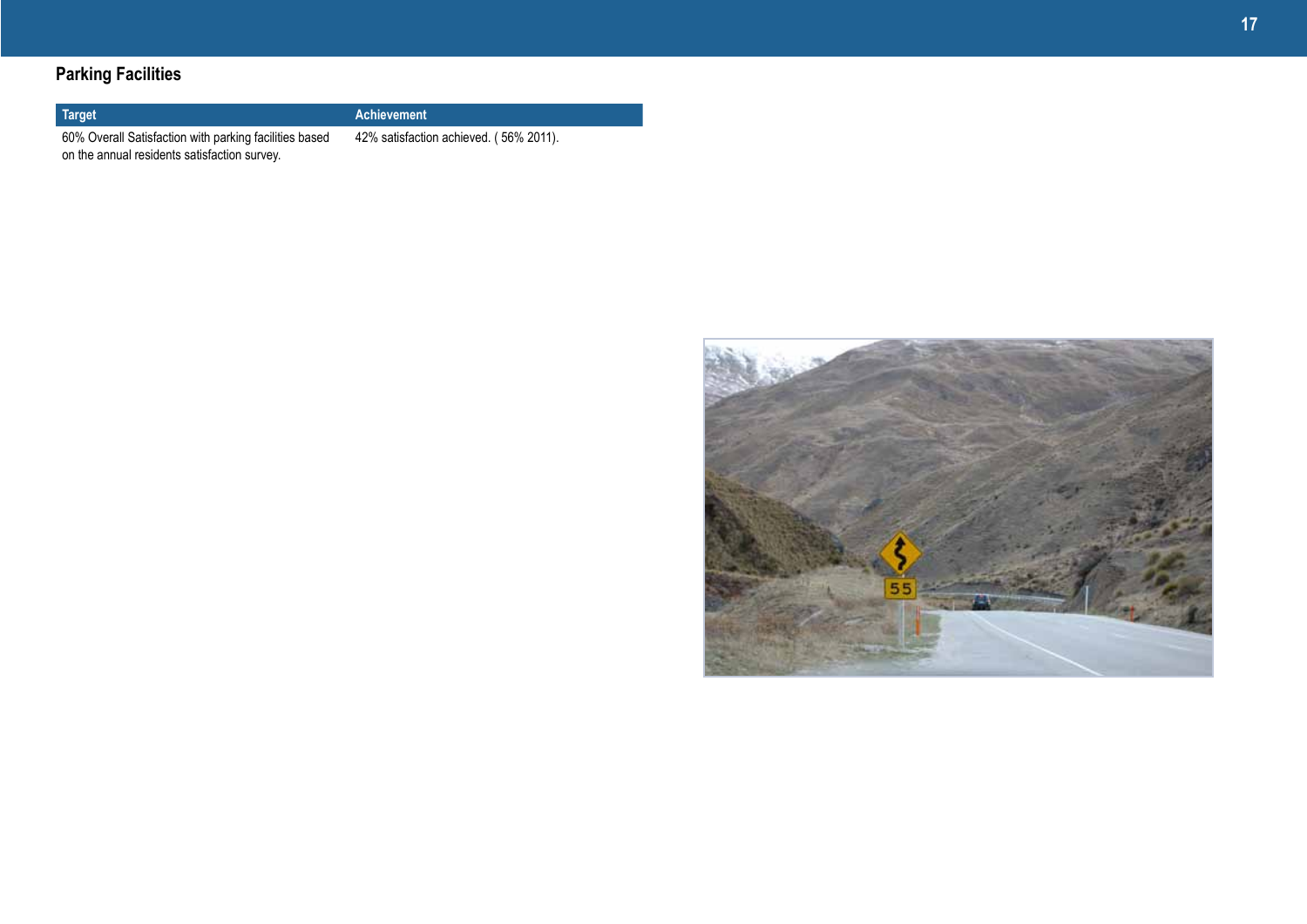## **Parking Facilities**

### **Target Achievement**

60% Overall Satisfaction with parking facilities based on the annual residents satisfaction survey.

42% satisfaction achieved. ( 56% 2011).